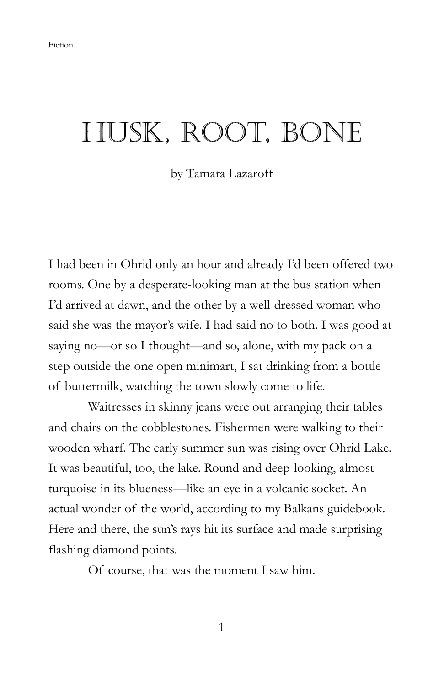## HUSK, ROOT, BONE

by Tamara Lazaroff

I had been in Ohrid only an hour and already I'd been offered two rooms. One by a desperate-looking man at the bus station when I'd arrived at dawn, and the other by a well-dressed woman who said she was the mayor's wife. I had said no to both. I was good at saying no—or so I thought—and so, alone, with my pack on a step outside the one open minimart, I sat drinking from a bottle of buttermilk, watching the town slowly come to life.

 Waitresses in skinny jeans were out arranging their tables and chairs on the cobblestones. Fishermen were walking to their wooden wharf. The early summer sun was rising over Ohrid Lake. It was beautiful, too, the lake. Round and deep-looking, almost turquoise in its blueness—like an eye in a volcanic socket. An actual wonder of the world, according to my Balkans guidebook. Here and there, the sun's rays hit its surface and made surprising flashing diamond points.

Of course, that was the moment I saw him.

1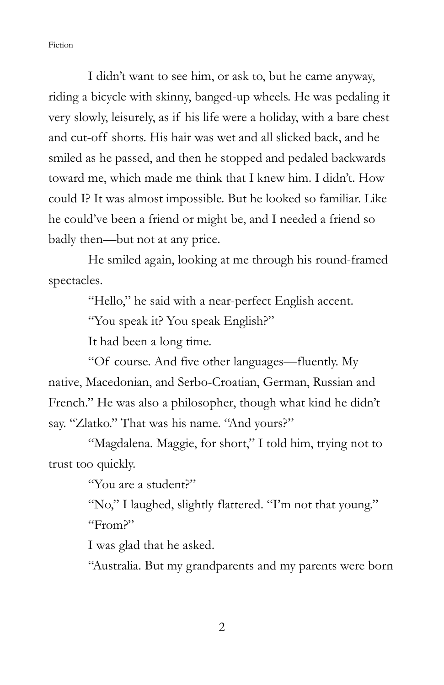I didn't want to see him, or ask to, but he came anyway, riding a bicycle with skinny, banged-up wheels. He was pedaling it very slowly, leisurely, as if his life were a holiday, with a bare chest and cut-off shorts. His hair was wet and all slicked back, and he smiled as he passed, and then he stopped and pedaled backwards toward me, which made me think that I knew him. I didn't. How could I? It was almost impossible. But he looked so familiar. Like he could've been a friend or might be, and I needed a friend so badly then—but not at any price.

 He smiled again, looking at me through his round-framed spectacles.

"Hello," he said with a near-perfect English accent.

"You speak it? You speak English?"

It had been a long time.

 "Of course. And five other languages—fluently. My native, Macedonian, and Serbo-Croatian, German, Russian and French." He was also a philosopher, though what kind he didn't say. "Zlatko." That was his name. "And yours?"

 "Magdalena. Maggie, for short," I told him, trying not to trust too quickly.

"You are a student?"

 "No," I laughed, slightly flattered. "I'm not that young." "From?"

I was glad that he asked.

"Australia. But my grandparents and my parents were born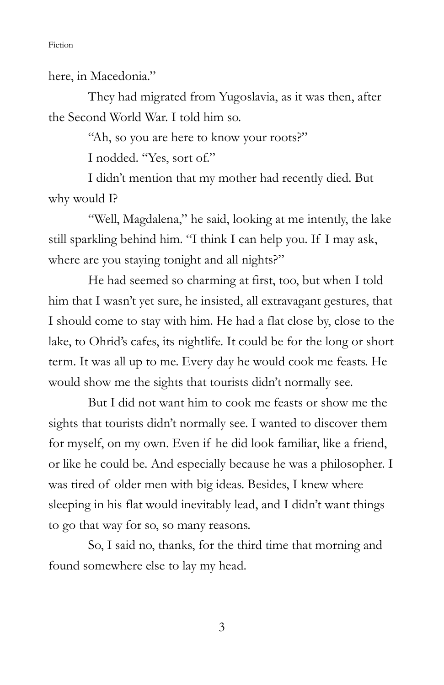here, in Macedonia."

 They had migrated from Yugoslavia, as it was then, after the Second World War. I told him so.

"Ah, so you are here to know your roots?"

I nodded. "Yes, sort of."

 I didn't mention that my mother had recently died. But why would I?

 "Well, Magdalena," he said, looking at me intently, the lake still sparkling behind him. "I think I can help you. If I may ask, where are you staying tonight and all nights?"

 He had seemed so charming at first, too, but when I told him that I wasn't yet sure, he insisted, all extravagant gestures, that I should come to stay with him. He had a flat close by, close to the lake, to Ohrid's cafes, its nightlife. It could be for the long or short term. It was all up to me. Every day he would cook me feasts. He would show me the sights that tourists didn't normally see.

 But I did not want him to cook me feasts or show me the sights that tourists didn't normally see. I wanted to discover them for myself, on my own. Even if he did look familiar, like a friend, or like he could be. And especially because he was a philosopher. I was tired of older men with big ideas. Besides, I knew where sleeping in his flat would inevitably lead, and I didn't want things to go that way for so, so many reasons.

 So, I said no, thanks, for the third time that morning and found somewhere else to lay my head.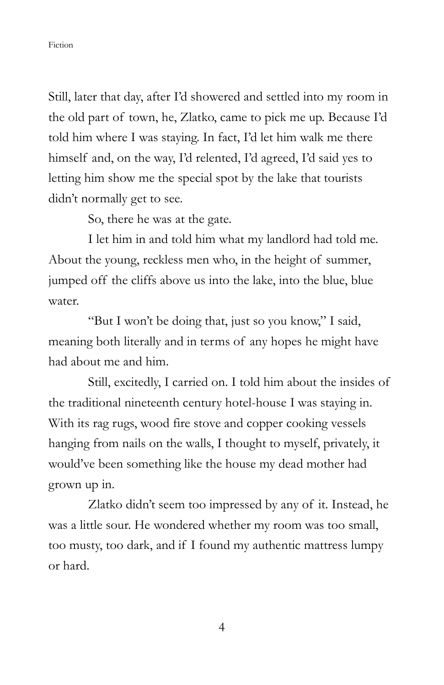Still, later that day, after I'd showered and settled into my room in the old part of town, he, Zlatko, came to pick me up. Because I'd told him where I was staying. In fact, I'd let him walk me there himself and, on the way, I'd relented, I'd agreed, I'd said yes to letting him show me the special spot by the lake that tourists didn't normally get to see.

So, there he was at the gate.

 I let him in and told him what my landlord had told me. About the young, reckless men who, in the height of summer, jumped off the cliffs above us into the lake, into the blue, blue water.

"But I won't be doing that, just so you know," I said, meaning both literally and in terms of any hopes he might have had about me and him.

 Still, excitedly, I carried on. I told him about the insides of the traditional nineteenth century hotel-house I was staying in. With its rag rugs, wood fire stove and copper cooking vessels hanging from nails on the walls, I thought to myself, privately, it would've been something like the house my dead mother had grown up in.

 Zlatko didn't seem too impressed by any of it. Instead, he was a little sour. He wondered whether my room was too small, too musty, too dark, and if I found my authentic mattress lumpy or hard.

4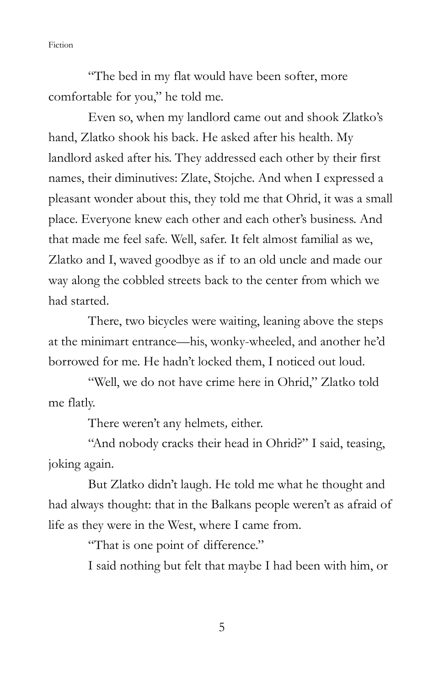"The bed in my flat would have been softer, more comfortable for you," he told me.

 Even so, when my landlord came out and shook Zlatko's hand, Zlatko shook his back. He asked after his health. My landlord asked after his. They addressed each other by their first names, their diminutives: Zlate, Stojche. And when I expressed a pleasant wonder about this, they told me that Ohrid, it was a small place. Everyone knew each other and each other's business. And that made me feel safe. Well, safer. It felt almost familial as we, Zlatko and I, waved goodbye as if to an old uncle and made our way along the cobbled streets back to the center from which we had started.

 There, two bicycles were waiting, leaning above the steps at the minimart entrance—his, wonky-wheeled, and another he'd borrowed for me. He hadn't locked them, I noticed out loud.

 "Well, we do not have crime here in Ohrid," Zlatko told me flatly.

There weren't any helmets, either.

 "And nobody cracks their head in Ohrid?" I said, teasing, joking again.

 But Zlatko didn't laugh. He told me what he thought and had always thought: that in the Balkans people weren't as afraid of life as they were in the West, where I came from.

"That is one point of difference."

I said nothing but felt that maybe I had been with him, or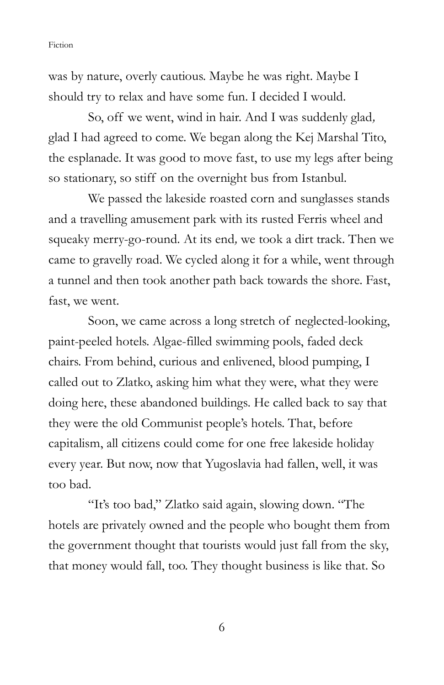was by nature, overly cautious. Maybe he was right. Maybe I should try to relax and have some fun. I decided I would.

 So, off we went, wind in hair. And I was suddenly glad, glad I had agreed to come. We began along the Kej Marshal Tito, the esplanade. It was good to move fast, to use my legs after being so stationary, so stiff on the overnight bus from Istanbul.

 We passed the lakeside roasted corn and sunglasses stands and a travelling amusement park with its rusted Ferris wheel and squeaky merry-go-round. At its end, we took a dirt track. Then we came to gravelly road. We cycled along it for a while, went through a tunnel and then took another path back towards the shore. Fast, fast, we went.

 Soon, we came across a long stretch of neglected-looking, paint-peeled hotels. Algae-filled swimming pools, faded deck chairs. From behind, curious and enlivened, blood pumping, I called out to Zlatko, asking him what they were, what they were doing here, these abandoned buildings. He called back to say that they were the old Communist people's hotels. That, before capitalism, all citizens could come for one free lakeside holiday every year. But now, now that Yugoslavia had fallen, well, it was too bad.

 "It's too bad," Zlatko said again, slowing down. "The hotels are privately owned and the people who bought them from the government thought that tourists would just fall from the sky, that money would fall, too. They thought business is like that. So

6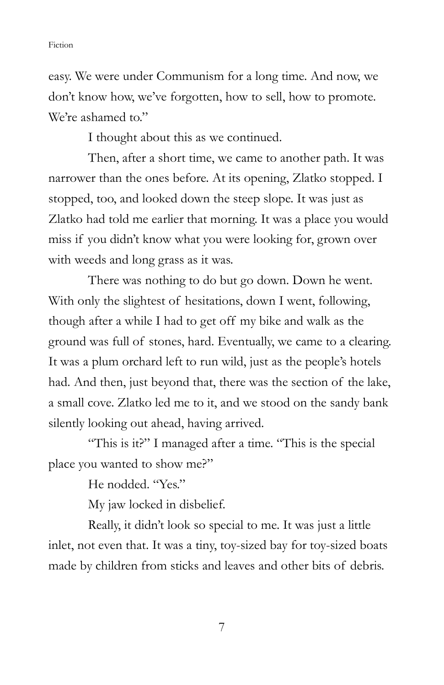easy. We were under Communism for a long time. And now, we don't know how, we've forgotten, how to sell, how to promote. We're ashamed to."

I thought about this as we continued.

 Then, after a short time, we came to another path. It was narrower than the ones before. At its opening, Zlatko stopped. I stopped, too, and looked down the steep slope. It was just as Zlatko had told me earlier that morning. It was a place you would miss if you didn't know what you were looking for, grown over with weeds and long grass as it was.

 There was nothing to do but go down. Down he went. With only the slightest of hesitations, down I went, following, though after a while I had to get off my bike and walk as the ground was full of stones, hard. Eventually, we came to a clearing. It was a plum orchard left to run wild, just as the people's hotels had. And then, just beyond that, there was the section of the lake, a small cove. Zlatko led me to it, and we stood on the sandy bank silently looking out ahead, having arrived.

 "This is it?" I managed after a time. "This is the special place you wanted to show me?"

He nodded. "Yes."

My jaw locked in disbelief.

Really, it didn't look so special to me. It was just a little inlet, not even that. It was a tiny, toy-sized bay for toy-sized boats made by children from sticks and leaves and other bits of debris.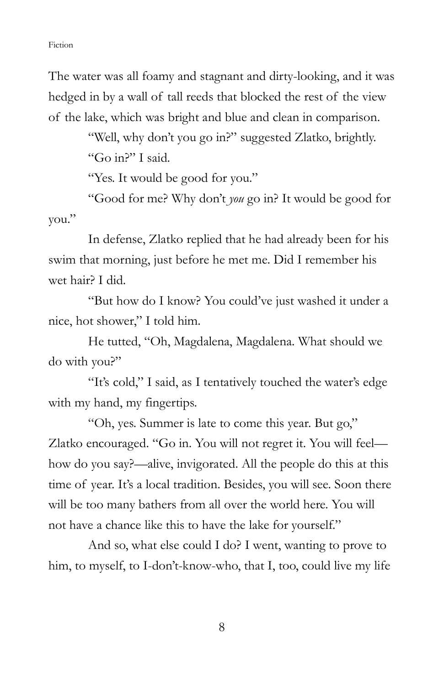The water was all foamy and stagnant and dirty-looking, and it was hedged in by a wall of tall reeds that blocked the rest of the view of the lake, which was bright and blue and clean in comparison.

> "Well, why don't you go in?" suggested Zlatko, brightly. "Go in?" I said.

"Yes. It would be good for you."

 "Good for me? Why don't you go in? It would be good for you."

 In defense, Zlatko replied that he had already been for his swim that morning, just before he met me. Did I remember his wet hair? I did.

 "But how do I know? You could've just washed it under a nice, hot shower," I told him.

 He tutted, "Oh, Magdalena, Magdalena. What should we do with you?"

 "It's cold," I said, as I tentatively touched the water's edge with my hand, my fingertips.

 "Oh, yes. Summer is late to come this year. But go," Zlatko encouraged. "Go in. You will not regret it. You will feel how do you say?—alive, invigorated. All the people do this at this time of year. It's a local tradition. Besides, you will see. Soon there will be too many bathers from all over the world here. You will not have a chance like this to have the lake for yourself."

 And so, what else could I do? I went, wanting to prove to him, to myself, to I-don't-know-who, that I, too, could live my life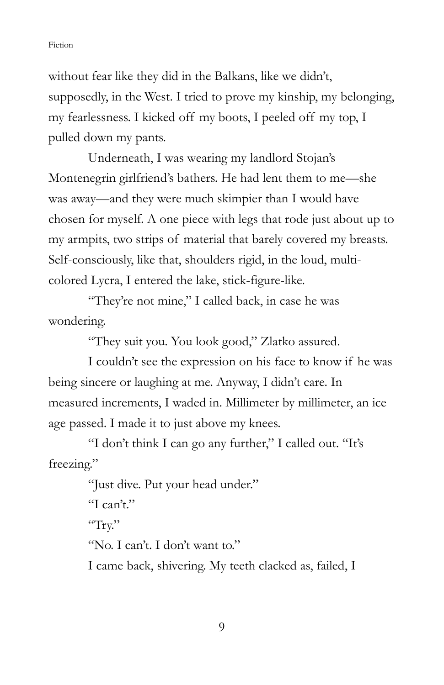without fear like they did in the Balkans, like we didn't, supposedly, in the West. I tried to prove my kinship, my belonging, my fearlessness. I kicked off my boots, I peeled off my top, I pulled down my pants.

 Underneath, I was wearing my landlord Stojan's Montenegrin girlfriend's bathers. He had lent them to me—she was away—and they were much skimpier than I would have chosen for myself. A one piece with legs that rode just about up to my armpits, two strips of material that barely covered my breasts. Self-consciously, like that, shoulders rigid, in the loud, multicolored Lycra, I entered the lake, stick-figure-like.

 "They're not mine," I called back, in case he was wondering.

"They suit you. You look good," Zlatko assured.

 I couldn't see the expression on his face to know if he was being sincere or laughing at me. Anyway, I didn't care. In measured increments, I waded in. Millimeter by millimeter, an ice age passed. I made it to just above my knees.

 "I don't think I can go any further," I called out. "It's freezing."

> "Just dive. Put your head under." "I can't." "Try." "No. I can't. I don't want to." I came back, shivering. My teeth clacked as, failed, I

> > 9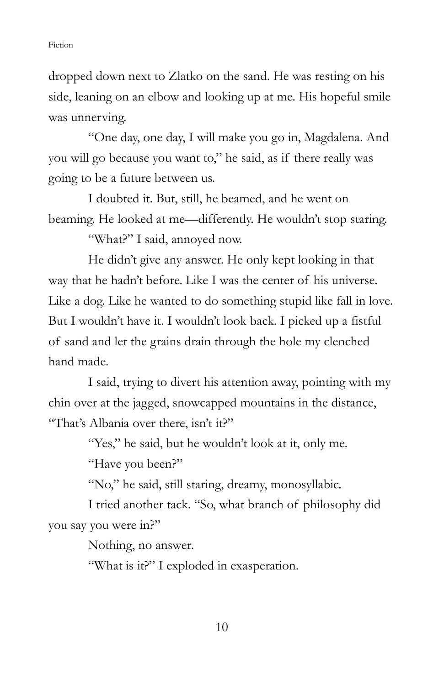dropped down next to Zlatko on the sand. He was resting on his side, leaning on an elbow and looking up at me. His hopeful smile was unnerving.

 "One day, one day, I will make you go in, Magdalena. And you will go because you want to," he said, as if there really was going to be a future between us.

 I doubted it. But, still, he beamed, and he went on beaming. He looked at me—differently. He wouldn't stop staring.

"What?" I said, annoyed now.

 He didn't give any answer. He only kept looking in that way that he hadn't before. Like I was the center of his universe. Like a dog. Like he wanted to do something stupid like fall in love. But I wouldn't have it. I wouldn't look back. I picked up a fistful of sand and let the grains drain through the hole my clenched hand made.

 I said, trying to divert his attention away, pointing with my chin over at the jagged, snowcapped mountains in the distance, "That's Albania over there, isn't it?"

"Yes," he said, but he wouldn't look at it, only me.

"Have you been?"

"No," he said, still staring, dreamy, monosyllabic.

 I tried another tack. "So, what branch of philosophy did you say you were in?"

Nothing, no answer.

"What is it?" I exploded in exasperation.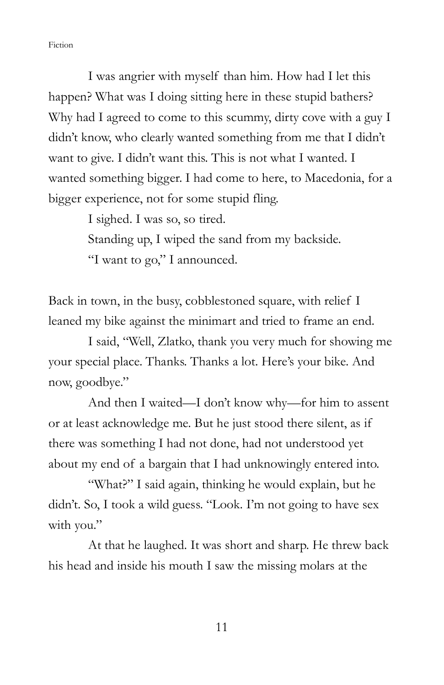I was angrier with myself than him. How had I let this happen? What was I doing sitting here in these stupid bathers? Why had I agreed to come to this scummy, dirty cove with a guy I didn't know, who clearly wanted something from me that I didn't want to give. I didn't want this. This is not what I wanted. I wanted something bigger. I had come to here, to Macedonia, for a bigger experience, not for some stupid fling.

I sighed. I was so, so tired.

 Standing up, I wiped the sand from my backside. "I want to go," I announced.

Back in town, in the busy, cobblestoned square, with relief I leaned my bike against the minimart and tried to frame an end.

 I said, "Well, Zlatko, thank you very much for showing me your special place. Thanks. Thanks a lot. Here's your bike. And now, goodbye."

 And then I waited—I don't know why—for him to assent or at least acknowledge me. But he just stood there silent, as if there was something I had not done, had not understood yet about my end of a bargain that I had unknowingly entered into.

"What?" I said again, thinking he would explain, but he didn't. So, I took a wild guess. "Look. I'm not going to have sex with you."

 At that he laughed. It was short and sharp. He threw back his head and inside his mouth I saw the missing molars at the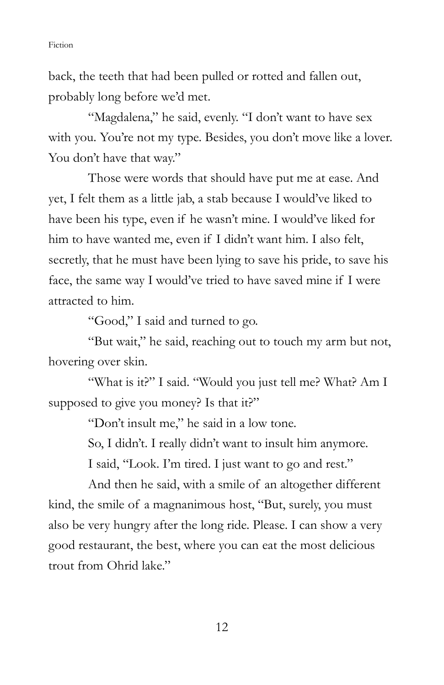back, the teeth that had been pulled or rotted and fallen out, probably long before we'd met.

"Magdalena," he said, evenly. "I don't want to have sex with you. You're not my type. Besides, you don't move like a lover. You don't have that way."

 Those were words that should have put me at ease. And yet, I felt them as a little jab, a stab because I would've liked to have been his type, even if he wasn't mine. I would've liked for him to have wanted me, even if I didn't want him. I also felt, secretly, that he must have been lying to save his pride, to save his face, the same way I would've tried to have saved mine if I were attracted to him.

"Good," I said and turned to go.

 "But wait," he said, reaching out to touch my arm but not, hovering over skin.

 "What is it?" I said. "Would you just tell me? What? Am I supposed to give you money? Is that it?"

"Don't insult me," he said in a low tone.

So, I didn't. I really didn't want to insult him anymore.

I said, "Look. I'm tired. I just want to go and rest."

 And then he said, with a smile of an altogether different kind, the smile of a magnanimous host, "But, surely, you must also be very hungry after the long ride. Please. I can show a very good restaurant, the best, where you can eat the most delicious trout from Ohrid lake."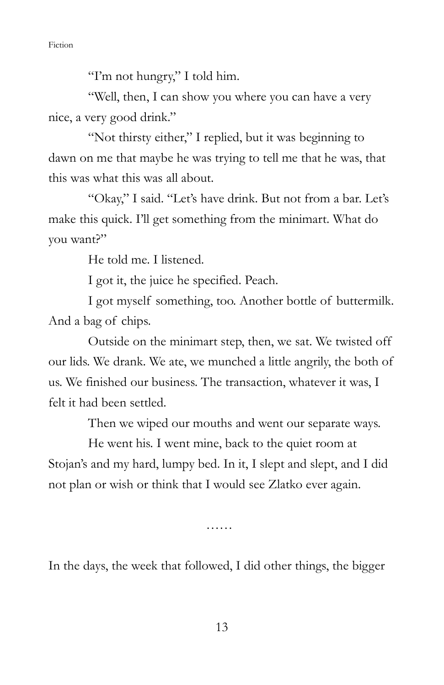"I'm not hungry," I told him.

 "Well, then, I can show you where you can have a very nice, a very good drink."

 "Not thirsty either," I replied, but it was beginning to dawn on me that maybe he was trying to tell me that he was, that this was what this was all about.

 "Okay," I said. "Let's have drink. But not from a bar. Let's make this quick. I'll get something from the minimart. What do you want?"

He told me. I listened.

I got it, the juice he specified. Peach.

 I got myself something, too. Another bottle of buttermilk. And a bag of chips.

 Outside on the minimart step, then, we sat. We twisted off our lids. We drank. We ate, we munched a little angrily, the both of us. We finished our business. The transaction, whatever it was, I felt it had been settled.

Then we wiped our mouths and went our separate ways.

 He went his. I went mine, back to the quiet room at Stojan's and my hard, lumpy bed. In it, I slept and slept, and I did not plan or wish or think that I would see Zlatko ever again.

……

In the days, the week that followed, I did other things, the bigger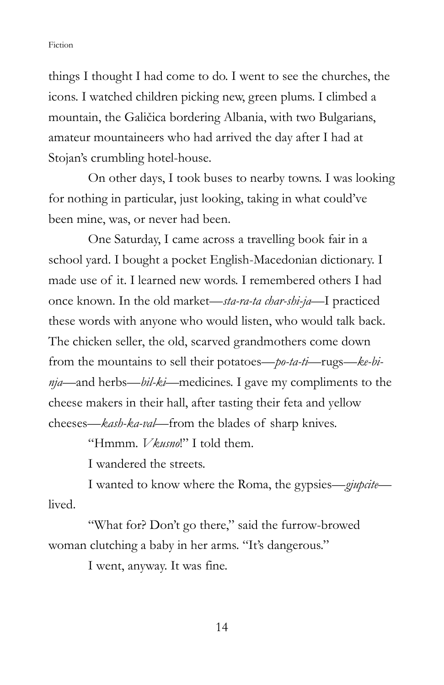things I thought I had come to do. I went to see the churches, the icons. I watched children picking new, green plums. I climbed a mountain, the Galičica bordering Albania, with two Bulgarians, amateur mountaineers who had arrived the day after I had at Stojan's crumbling hotel-house.

 On other days, I took buses to nearby towns. I was looking for nothing in particular, just looking, taking in what could've been mine, was, or never had been.

 One Saturday, I came across a travelling book fair in a school yard. I bought a pocket English-Macedonian dictionary. I made use of it. I learned new words. I remembered others I had once known. In the old market—sta-ra-ta char-shi-ja—I practiced these words with anyone who would listen, who would talk back. The chicken seller, the old, scarved grandmothers come down from the mountains to sell their potatoes—po-ta-ti—rugs—ke-binja—and herbs—bil-ki—medicines. I gave my compliments to the cheese makers in their hall, after tasting their feta and yellow cheeses—kash-ka-val—from the blades of sharp knives.

"Hmmm. *Vkusno!*" I told them.

I wandered the streets.

I wanted to know where the Roma, the gypsies—gjupcite lived.

 "What for? Don't go there," said the furrow-browed woman clutching a baby in her arms. "It's dangerous."

I went, anyway. It was fine.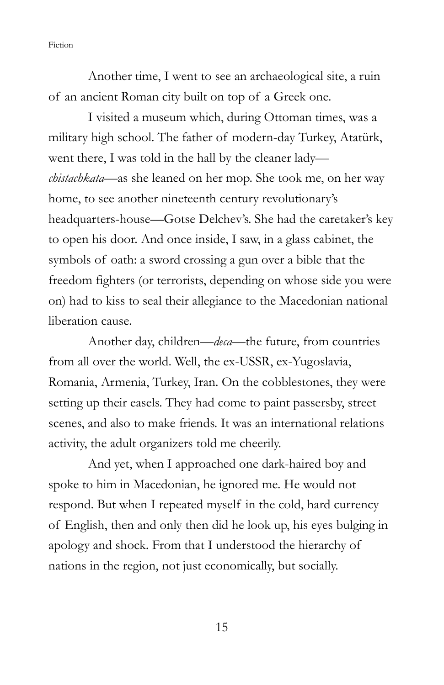Another time, I went to see an archaeological site, a ruin of an ancient Roman city built on top of a Greek one.

I visited a museum which, during Ottoman times, was a military high school. The father of modern-day Turkey, Atatürk, went there, I was told in the hall by the cleaner lady chistachkata—as she leaned on her mop. She took me, on her way home, to see another nineteenth century revolutionary's headquarters-house—Gotse Delchev's. She had the caretaker's key to open his door. And once inside, I saw, in a glass cabinet, the symbols of oath: a sword crossing a gun over a bible that the freedom fighters (or terrorists, depending on whose side you were on) had to kiss to seal their allegiance to the Macedonian national liberation cause.

 Another day, children—deca—the future, from countries from all over the world. Well, the ex-USSR, ex-Yugoslavia, Romania, Armenia, Turkey, Iran. On the cobblestones, they were setting up their easels. They had come to paint passersby, street scenes, and also to make friends. It was an international relations activity, the adult organizers told me cheerily.

 And yet, when I approached one dark-haired boy and spoke to him in Macedonian, he ignored me. He would not respond. But when I repeated myself in the cold, hard currency of English, then and only then did he look up, his eyes bulging in apology and shock. From that I understood the hierarchy of nations in the region, not just economically, but socially.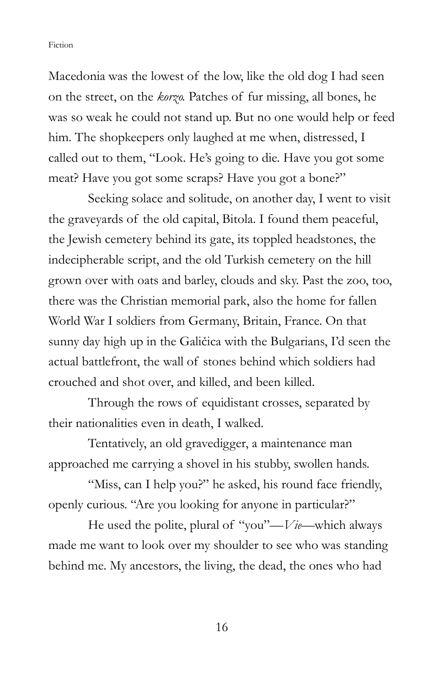Macedonia was the lowest of the low, like the old dog I had seen on the street, on the korzo. Patches of fur missing, all bones, he was so weak he could not stand up. But no one would help or feed him. The shopkeepers only laughed at me when, distressed, I called out to them, "Look. He's going to die. Have you got some meat? Have you got some scraps? Have you got a bone?"

 Seeking solace and solitude, on another day, I went to visit the graveyards of the old capital, Bitola. I found them peaceful, the Jewish cemetery behind its gate, its toppled headstones, the indecipherable script, and the old Turkish cemetery on the hill grown over with oats and barley, clouds and sky. Past the zoo, too, there was the Christian memorial park, also the home for fallen World War I soldiers from Germany, Britain, France. On that sunny day high up in the Galičica with the Bulgarians, I'd seen the actual battlefront, the wall of stones behind which soldiers had crouched and shot over, and killed, and been killed.

 Through the rows of equidistant crosses, separated by their nationalities even in death, I walked.

 Tentatively, an old gravedigger, a maintenance man approached me carrying a shovel in his stubby, swollen hands.

"Miss, can I help you?" he asked, his round face friendly, openly curious. "Are you looking for anyone in particular?"

He used the polite, plural of "you"— $Vi$ e—which always made me want to look over my shoulder to see who was standing behind me. My ancestors, the living, the dead, the ones who had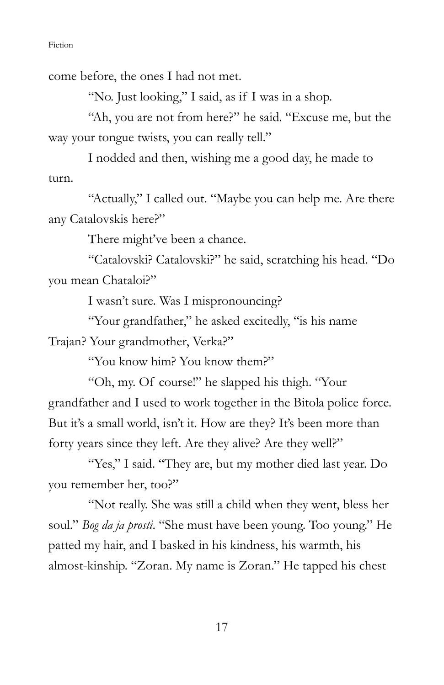come before, the ones I had not met.

"No. Just looking," I said, as if I was in a shop.

 "Ah, you are not from here?" he said. "Excuse me, but the way your tongue twists, you can really tell."

 I nodded and then, wishing me a good day, he made to turn.

 "Actually," I called out. "Maybe you can help me. Are there any Catalovskis here?"

There might've been a chance.

 "Catalovski? Catalovski?" he said, scratching his head. "Do you mean Chataloi?"

I wasn't sure. Was I mispronouncing?

"Your grandfather," he asked excitedly, "is his name Trajan? Your grandmother, Verka?"

"You know him? You know them?"

 "Oh, my. Of course!" he slapped his thigh. "Your grandfather and I used to work together in the Bitola police force. But it's a small world, isn't it. How are they? It's been more than forty years since they left. Are they alive? Are they well?"

"Yes," I said. "They are, but my mother died last year. Do you remember her, too?"

 "Not really. She was still a child when they went, bless her soul." Bog da ja prosti. "She must have been young. Too young." He patted my hair, and I basked in his kindness, his warmth, his almost-kinship. "Zoran. My name is Zoran." He tapped his chest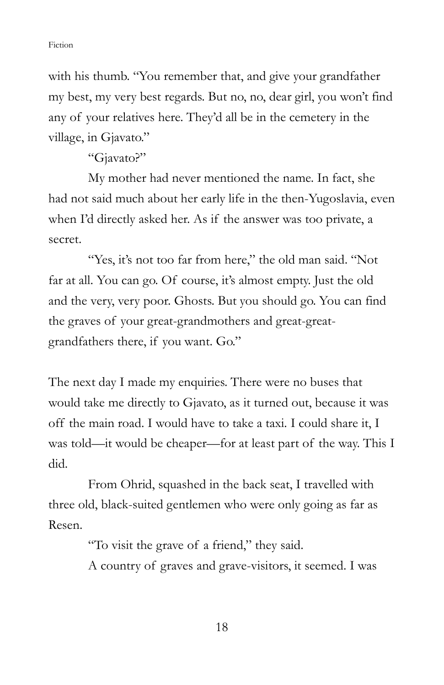with his thumb. "You remember that, and give your grandfather my best, my very best regards. But no, no, dear girl, you won't find any of your relatives here. They'd all be in the cemetery in the village, in Gjavato."

"Gjavato?"

 My mother had never mentioned the name. In fact, she had not said much about her early life in the then-Yugoslavia, even when I'd directly asked her. As if the answer was too private, a secret.

"Yes, it's not too far from here," the old man said. "Not far at all. You can go. Of course, it's almost empty. Just the old and the very, very poor. Ghosts. But you should go. You can find the graves of your great-grandmothers and great-greatgrandfathers there, if you want. Go."

The next day I made my enquiries. There were no buses that would take me directly to Gjavato, as it turned out, because it was off the main road. I would have to take a taxi. I could share it, I was told—it would be cheaper—for at least part of the way. This I did.

From Ohrid, squashed in the back seat, I travelled with three old, black-suited gentlemen who were only going as far as Resen.

"To visit the grave of a friend," they said.

A country of graves and grave-visitors, it seemed. I was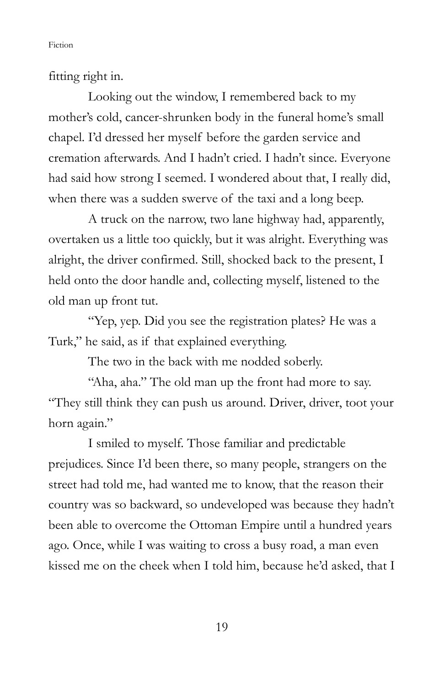fitting right in.

 Looking out the window, I remembered back to my mother's cold, cancer-shrunken body in the funeral home's small chapel. I'd dressed her myself before the garden service and cremation afterwards. And I hadn't cried. I hadn't since. Everyone had said how strong I seemed. I wondered about that, I really did, when there was a sudden swerve of the taxi and a long beep.

 A truck on the narrow, two lane highway had, apparently, overtaken us a little too quickly, but it was alright. Everything was alright, the driver confirmed. Still, shocked back to the present, I held onto the door handle and, collecting myself, listened to the old man up front tut.

 "Yep, yep. Did you see the registration plates? He was a Turk," he said, as if that explained everything.

The two in the back with me nodded soberly.

"Aha, aha." The old man up the front had more to say. "They still think they can push us around. Driver, driver, toot your horn again."

 I smiled to myself. Those familiar and predictable prejudices. Since I'd been there, so many people, strangers on the street had told me, had wanted me to know, that the reason their country was so backward, so undeveloped was because they hadn't been able to overcome the Ottoman Empire until a hundred years ago. Once, while I was waiting to cross a busy road, a man even kissed me on the cheek when I told him, because he'd asked, that I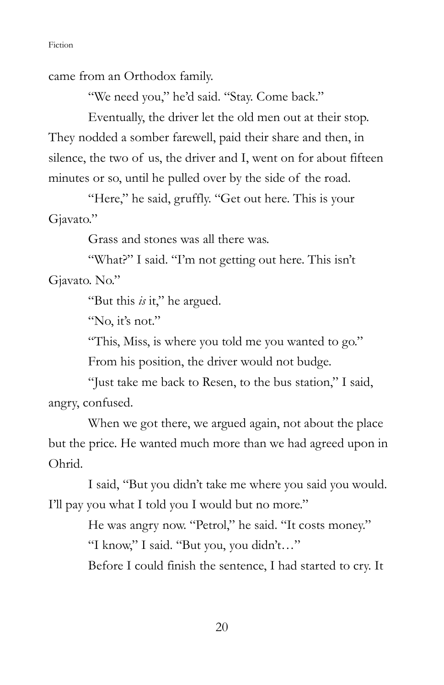came from an Orthodox family.

"We need you," he'd said. "Stay. Come back."

 Eventually, the driver let the old men out at their stop. They nodded a somber farewell, paid their share and then, in silence, the two of us, the driver and I, went on for about fifteen minutes or so, until he pulled over by the side of the road.

"Here," he said, gruffly. "Get out here. This is your Gjavato."

Grass and stones was all there was.

"What?" I said. "I'm not getting out here. This isn't Gjavato. No."

"But this is it," he argued.

"No, it's not."

"This, Miss, is where you told me you wanted to go."

From his position, the driver would not budge.

 "Just take me back to Resen, to the bus station," I said, angry, confused.

 When we got there, we argued again, not about the place but the price. He wanted much more than we had agreed upon in Ohrid.

 I said, "But you didn't take me where you said you would. I'll pay you what I told you I would but no more."

> He was angry now. "Petrol," he said. "It costs money." "I know," I said. "But you, you didn't…"

Before I could finish the sentence, I had started to cry. It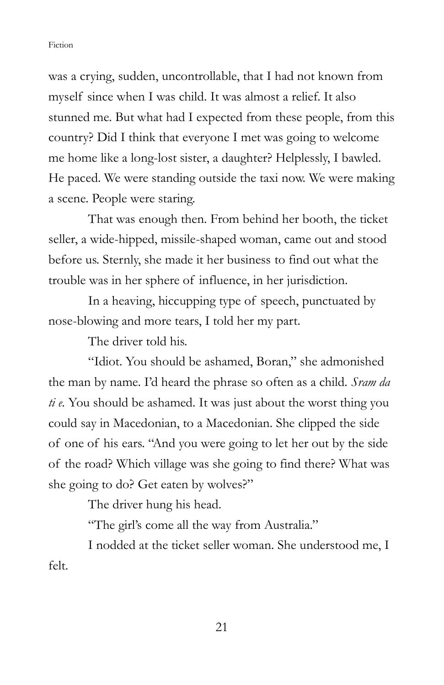was a crying, sudden, uncontrollable, that I had not known from myself since when I was child. It was almost a relief. It also stunned me. But what had I expected from these people, from this country? Did I think that everyone I met was going to welcome me home like a long-lost sister, a daughter? Helplessly, I bawled. He paced. We were standing outside the taxi now. We were making a scene. People were staring.

 That was enough then. From behind her booth, the ticket seller, a wide-hipped, missile-shaped woman, came out and stood before us. Sternly, she made it her business to find out what the trouble was in her sphere of influence, in her jurisdiction.

 In a heaving, hiccupping type of speech, punctuated by nose-blowing and more tears, I told her my part.

The driver told his.

 "Idiot. You should be ashamed, Boran," she admonished the man by name. I'd heard the phrase so often as a child. Sram da  $t i e$ . You should be ashamed. It was just about the worst thing you could say in Macedonian, to a Macedonian. She clipped the side of one of his ears. "And you were going to let her out by the side of the road? Which village was she going to find there? What was she going to do? Get eaten by wolves?"

The driver hung his head.

"The girl's come all the way from Australia."

 I nodded at the ticket seller woman. She understood me, I felt.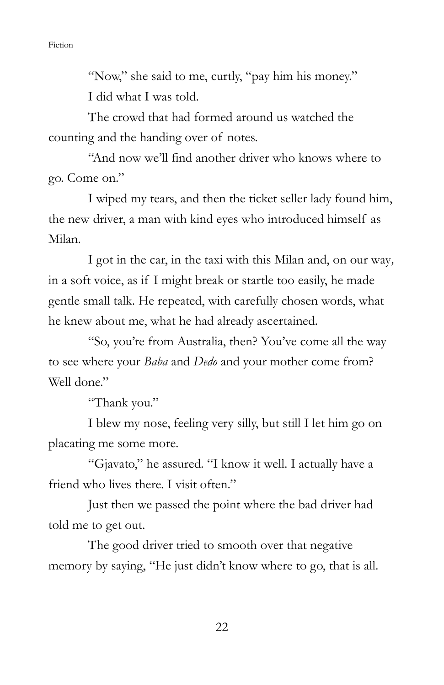"Now," she said to me, curtly, "pay him his money." I did what I was told.

 The crowd that had formed around us watched the counting and the handing over of notes.

 "And now we'll find another driver who knows where to go. Come on."

 I wiped my tears, and then the ticket seller lady found him, the new driver, a man with kind eyes who introduced himself as Milan.

 I got in the car, in the taxi with this Milan and, on our way, in a soft voice, as if I might break or startle too easily, he made gentle small talk. He repeated, with carefully chosen words, what he knew about me, what he had already ascertained.

"So, you're from Australia, then? You've come all the way to see where your Baba and Dedo and your mother come from? Well done."

"Thank you."

 I blew my nose, feeling very silly, but still I let him go on placating me some more.

 "Gjavato," he assured. "I know it well. I actually have a friend who lives there. I visit often."

 Just then we passed the point where the bad driver had told me to get out.

 The good driver tried to smooth over that negative memory by saying, "He just didn't know where to go, that is all.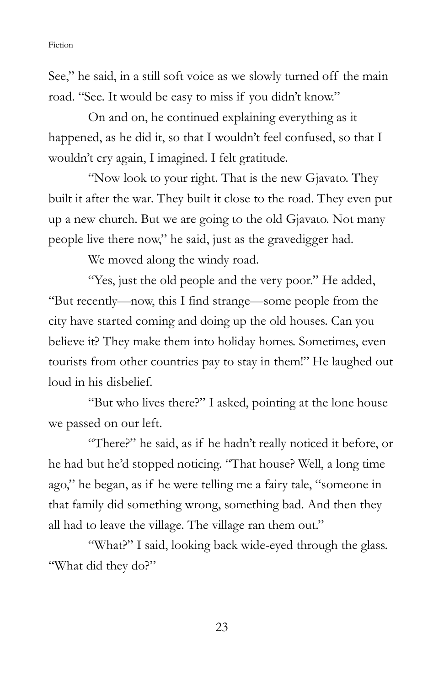See," he said, in a still soft voice as we slowly turned off the main road. "See. It would be easy to miss if you didn't know."

 On and on, he continued explaining everything as it happened, as he did it, so that I wouldn't feel confused, so that I wouldn't cry again, I imagined. I felt gratitude.

"Now look to your right. That is the new Gjavato. They built it after the war. They built it close to the road. They even put up a new church. But we are going to the old Gjavato. Not many people live there now," he said, just as the gravedigger had.

We moved along the windy road.

 "Yes, just the old people and the very poor." He added, "But recently—now, this I find strange—some people from the city have started coming and doing up the old houses. Can you believe it? They make them into holiday homes. Sometimes, even tourists from other countries pay to stay in them!" He laughed out loud in his disbelief.

 "But who lives there?" I asked, pointing at the lone house we passed on our left.

 "There?" he said, as if he hadn't really noticed it before, or he had but he'd stopped noticing. "That house? Well, a long time ago," he began, as if he were telling me a fairy tale, "someone in that family did something wrong, something bad. And then they all had to leave the village. The village ran them out."

"What?" I said, looking back wide-eyed through the glass. "What did they do?"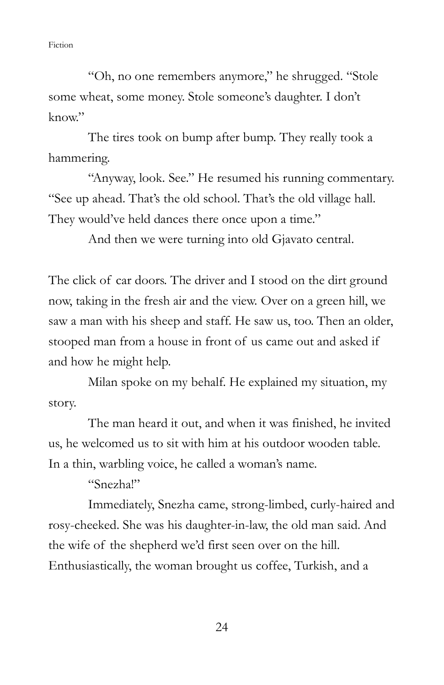"Oh, no one remembers anymore," he shrugged. "Stole some wheat, some money. Stole someone's daughter. I don't  $k$ now"

The tires took on bump after bump. They really took a hammering.

 "Anyway, look. See." He resumed his running commentary. "See up ahead. That's the old school. That's the old village hall. They would've held dances there once upon a time."

And then we were turning into old Gjavato central.

The click of car doors. The driver and I stood on the dirt ground now, taking in the fresh air and the view. Over on a green hill, we saw a man with his sheep and staff. He saw us, too. Then an older, stooped man from a house in front of us came out and asked if and how he might help.

Milan spoke on my behalf. He explained my situation, my story.

The man heard it out, and when it was finished, he invited us, he welcomed us to sit with him at his outdoor wooden table. In a thin, warbling voice, he called a woman's name.

"Snezha!"

 Immediately, Snezha came, strong-limbed, curly-haired and rosy-cheeked. She was his daughter-in-law, the old man said. And the wife of the shepherd we'd first seen over on the hill. Enthusiastically, the woman brought us coffee, Turkish, and a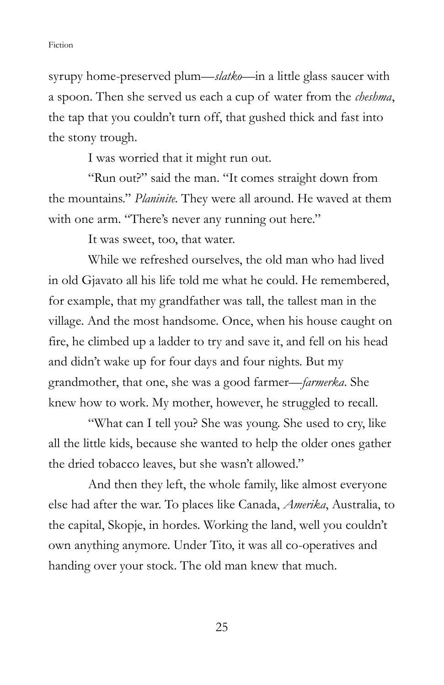syrupy home-preserved plum—*slatko*—in a little glass saucer with a spoon. Then she served us each a cup of water from the *cheshma*, the tap that you couldn't turn off, that gushed thick and fast into the stony trough.

I was worried that it might run out.

 "Run out?" said the man. "It comes straight down from the mountains." Planinite. They were all around. He waved at them with one arm. "There's never any running out here."

It was sweet, too, that water.

 While we refreshed ourselves, the old man who had lived in old Gjavato all his life told me what he could. He remembered, for example, that my grandfather was tall, the tallest man in the village. And the most handsome. Once, when his house caught on fire, he climbed up a ladder to try and save it, and fell on his head and didn't wake up for four days and four nights. But my grandmother, that one, she was a good farmer—farmerka. She knew how to work. My mother, however, he struggled to recall.

 "What can I tell you? She was young. She used to cry, like all the little kids, because she wanted to help the older ones gather the dried tobacco leaves, but she wasn't allowed."

And then they left, the whole family, like almost everyone else had after the war. To places like Canada, Amerika, Australia, to the capital, Skopje, in hordes. Working the land, well you couldn't own anything anymore. Under Tito, it was all co-operatives and handing over your stock. The old man knew that much.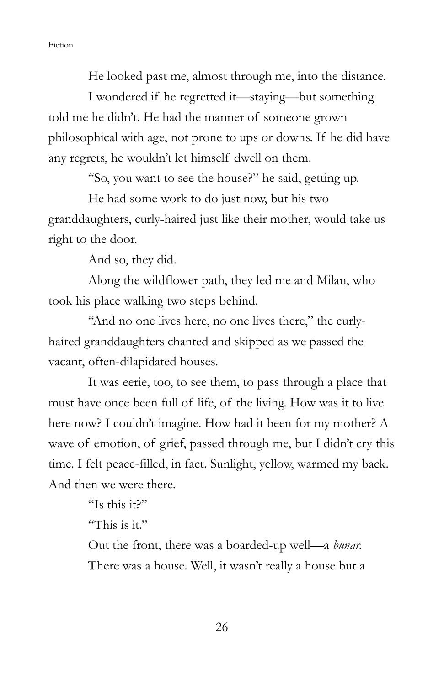He looked past me, almost through me, into the distance.

 I wondered if he regretted it—staying—but something told me he didn't. He had the manner of someone grown philosophical with age, not prone to ups or downs. If he did have any regrets, he wouldn't let himself dwell on them.

"So, you want to see the house?" he said, getting up.

 He had some work to do just now, but his two granddaughters, curly-haired just like their mother, would take us right to the door.

And so, they did.

 Along the wildflower path, they led me and Milan, who took his place walking two steps behind.

 "And no one lives here, no one lives there," the curlyhaired granddaughters chanted and skipped as we passed the vacant, often-dilapidated houses.

 It was eerie, too, to see them, to pass through a place that must have once been full of life, of the living. How was it to live here now? I couldn't imagine. How had it been for my mother? A wave of emotion, of grief, passed through me, but I didn't cry this time. I felt peace-filled, in fact. Sunlight, yellow, warmed my back. And then we were there.

"Is this it?"

"This is it."

 Out the front, there was a boarded-up well—a bunar. There was a house. Well, it wasn't really a house but a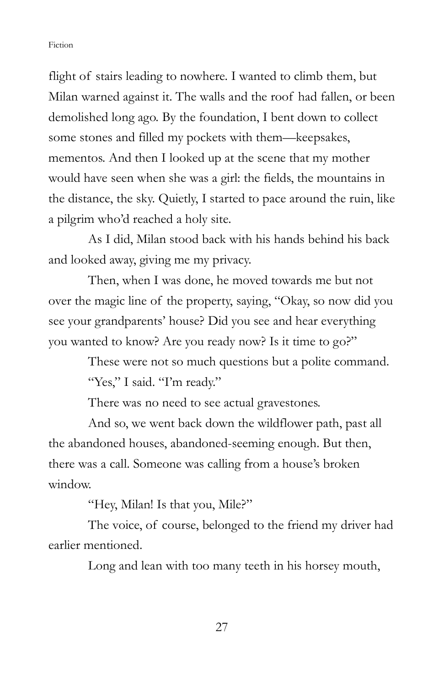flight of stairs leading to nowhere. I wanted to climb them, but Milan warned against it. The walls and the roof had fallen, or been demolished long ago. By the foundation, I bent down to collect some stones and filled my pockets with them—keepsakes, mementos. And then I looked up at the scene that my mother would have seen when she was a girl: the fields, the mountains in the distance, the sky. Quietly, I started to pace around the ruin, like a pilgrim who'd reached a holy site.

As I did, Milan stood back with his hands behind his back and looked away, giving me my privacy.

Then, when I was done, he moved towards me but not over the magic line of the property, saying, "Okay, so now did you see your grandparents' house? Did you see and hear everything you wanted to know? Are you ready now? Is it time to go?"

> These were not so much questions but a polite command. "Yes," I said. "I'm ready."

There was no need to see actual gravestones.

 And so, we went back down the wildflower path, past all the abandoned houses, abandoned-seeming enough. But then, there was a call. Someone was calling from a house's broken window.

"Hey, Milan! Is that you, Mile?"

The voice, of course, belonged to the friend my driver had earlier mentioned.

Long and lean with too many teeth in his horsey mouth,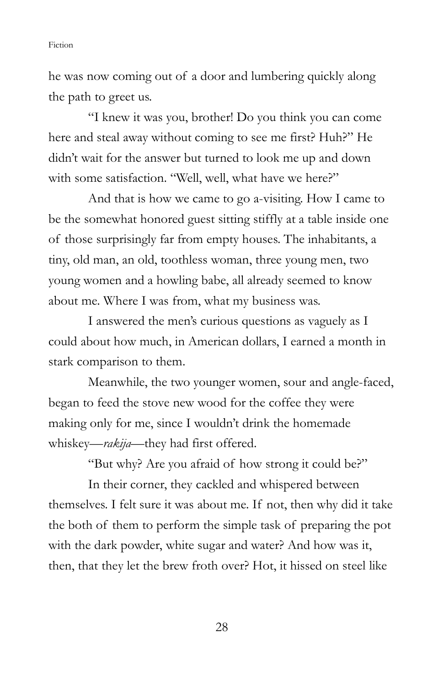he was now coming out of a door and lumbering quickly along the path to greet us.

 "I knew it was you, brother! Do you think you can come here and steal away without coming to see me first? Huh?" He didn't wait for the answer but turned to look me up and down with some satisfaction. "Well, well, what have we here?"

 And that is how we came to go a-visiting. How I came to be the somewhat honored guest sitting stiffly at a table inside one of those surprisingly far from empty houses. The inhabitants, a tiny, old man, an old, toothless woman, three young men, two young women and a howling babe, all already seemed to know about me. Where I was from, what my business was.

 I answered the men's curious questions as vaguely as I could about how much, in American dollars, I earned a month in stark comparison to them.

 Meanwhile, the two younger women, sour and angle-faced, began to feed the stove new wood for the coffee they were making only for me, since I wouldn't drink the homemade whiskey—rakija—they had first offered.

"But why? Are you afraid of how strong it could be?"

 In their corner, they cackled and whispered between themselves. I felt sure it was about me. If not, then why did it take the both of them to perform the simple task of preparing the pot with the dark powder, white sugar and water? And how was it, then, that they let the brew froth over? Hot, it hissed on steel like

28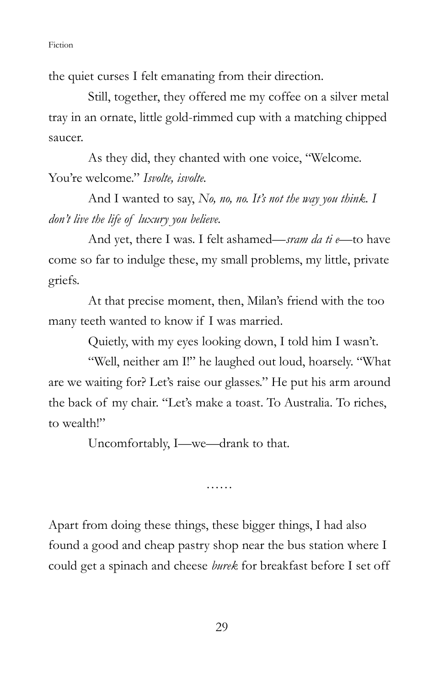the quiet curses I felt emanating from their direction.

 Still, together, they offered me my coffee on a silver metal tray in an ornate, little gold-rimmed cup with a matching chipped saucer.

 As they did, they chanted with one voice, "Welcome. You're welcome." Isvolte, isvolte.

And I wanted to say,  $N_0$ , no, no. It's not the way you think. I don't live the life of luxury you believe.

And yet, there I was. I felt ashamed—sram da ti e—to have come so far to indulge these, my small problems, my little, private griefs.

 At that precise moment, then, Milan's friend with the too many teeth wanted to know if I was married.

Quietly, with my eyes looking down, I told him I wasn't.

 "Well, neither am I!" he laughed out loud, hoarsely. "What are we waiting for? Let's raise our glasses." He put his arm around the back of my chair. "Let's make a toast. To Australia. To riches, to wealth!"

Uncomfortably, I—we—drank to that.

……

Apart from doing these things, these bigger things, I had also found a good and cheap pastry shop near the bus station where I could get a spinach and cheese burek for breakfast before I set off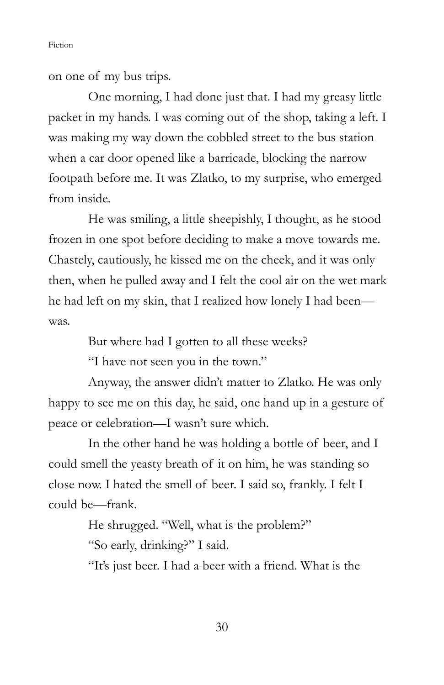on one of my bus trips.

 One morning, I had done just that. I had my greasy little packet in my hands. I was coming out of the shop, taking a left. I was making my way down the cobbled street to the bus station when a car door opened like a barricade, blocking the narrow footpath before me. It was Zlatko, to my surprise, who emerged from inside.

 He was smiling, a little sheepishly, I thought, as he stood frozen in one spot before deciding to make a move towards me. Chastely, cautiously, he kissed me on the cheek, and it was only then, when he pulled away and I felt the cool air on the wet mark he had left on my skin, that I realized how lonely I had been was.

But where had I gotten to all these weeks?

"I have not seen you in the town."

 Anyway, the answer didn't matter to Zlatko. He was only happy to see me on this day, he said, one hand up in a gesture of peace or celebration—I wasn't sure which.

 In the other hand he was holding a bottle of beer, and I could smell the yeasty breath of it on him, he was standing so close now. I hated the smell of beer. I said so, frankly. I felt I could be—frank.

He shrugged. "Well, what is the problem?"

"So early, drinking?" I said.

"It's just beer. I had a beer with a friend. What is the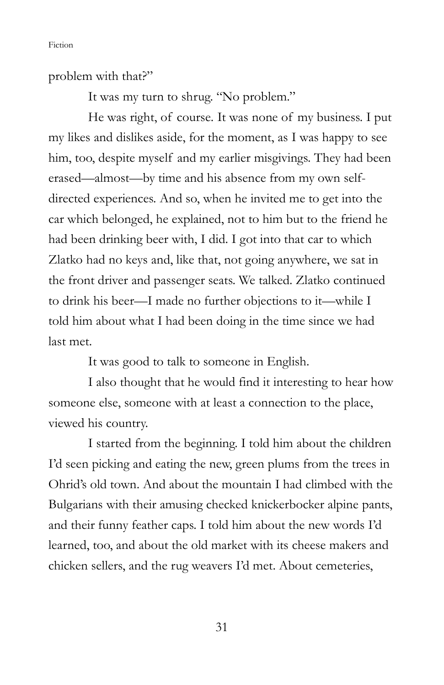problem with that?"

It was my turn to shrug. "No problem."

 He was right, of course. It was none of my business. I put my likes and dislikes aside, for the moment, as I was happy to see him, too, despite myself and my earlier misgivings. They had been erased—almost—by time and his absence from my own selfdirected experiences. And so, when he invited me to get into the car which belonged, he explained, not to him but to the friend he had been drinking beer with, I did. I got into that car to which Zlatko had no keys and, like that, not going anywhere, we sat in the front driver and passenger seats. We talked. Zlatko continued to drink his beer—I made no further objections to it—while I told him about what I had been doing in the time since we had last met.

It was good to talk to someone in English.

 I also thought that he would find it interesting to hear how someone else, someone with at least a connection to the place, viewed his country.

 I started from the beginning. I told him about the children I'd seen picking and eating the new, green plums from the trees in Ohrid's old town. And about the mountain I had climbed with the Bulgarians with their amusing checked knickerbocker alpine pants, and their funny feather caps. I told him about the new words I'd learned, too, and about the old market with its cheese makers and chicken sellers, and the rug weavers I'd met. About cemeteries,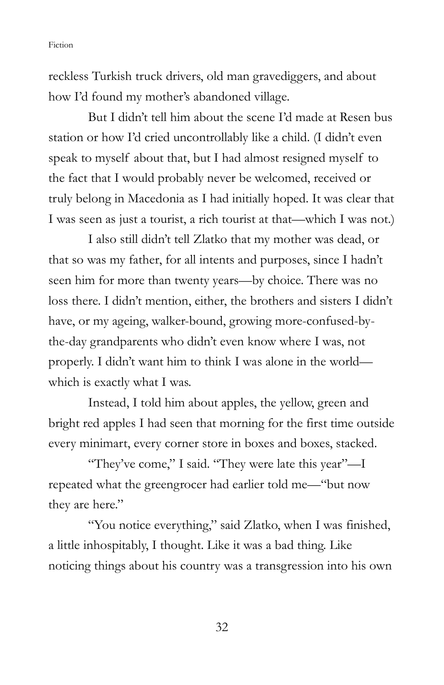reckless Turkish truck drivers, old man gravediggers, and about how I'd found my mother's abandoned village.

But I didn't tell him about the scene I'd made at Resen bus station or how I'd cried uncontrollably like a child. (I didn't even speak to myself about that, but I had almost resigned myself to the fact that I would probably never be welcomed, received or truly belong in Macedonia as I had initially hoped. It was clear that I was seen as just a tourist, a rich tourist at that—which I was not.)

 I also still didn't tell Zlatko that my mother was dead, or that so was my father, for all intents and purposes, since I hadn't seen him for more than twenty years—by choice. There was no loss there. I didn't mention, either, the brothers and sisters I didn't have, or my ageing, walker-bound, growing more-confused-bythe-day grandparents who didn't even know where I was, not properly. I didn't want him to think I was alone in the world which is exactly what I was.

 Instead, I told him about apples, the yellow, green and bright red apples I had seen that morning for the first time outside every minimart, every corner store in boxes and boxes, stacked.

 "They've come," I said. "They were late this year"—I repeated what the greengrocer had earlier told me—"but now they are here."

 "You notice everything," said Zlatko, when I was finished, a little inhospitably, I thought. Like it was a bad thing. Like noticing things about his country was a transgression into his own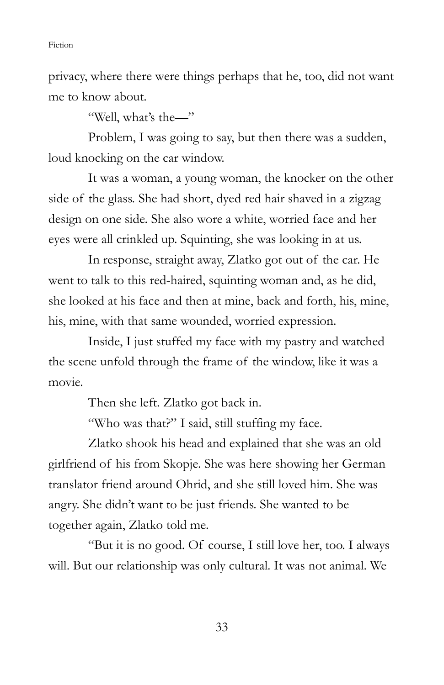privacy, where there were things perhaps that he, too, did not want me to know about.

"Well, what's the—"

 Problem, I was going to say, but then there was a sudden, loud knocking on the car window.

 It was a woman, a young woman, the knocker on the other side of the glass. She had short, dyed red hair shaved in a zigzag design on one side. She also wore a white, worried face and her eyes were all crinkled up. Squinting, she was looking in at us.

 In response, straight away, Zlatko got out of the car. He went to talk to this red-haired, squinting woman and, as he did, she looked at his face and then at mine, back and forth, his, mine, his, mine, with that same wounded, worried expression.

Inside, I just stuffed my face with my pastry and watched the scene unfold through the frame of the window, like it was a movie.

Then she left. Zlatko got back in.

"Who was that?" I said, still stuffing my face.

 Zlatko shook his head and explained that she was an old girlfriend of his from Skopje. She was here showing her German translator friend around Ohrid, and she still loved him. She was angry. She didn't want to be just friends. She wanted to be together again, Zlatko told me.

 "But it is no good. Of course, I still love her, too. I always will. But our relationship was only cultural. It was not animal. We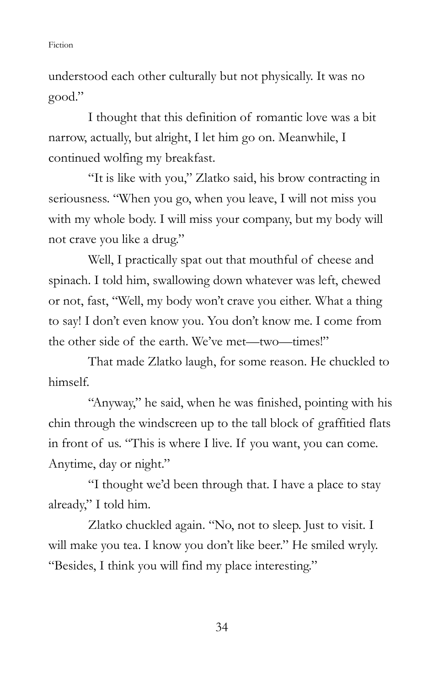understood each other culturally but not physically. It was no good."

 I thought that this definition of romantic love was a bit narrow, actually, but alright, I let him go on. Meanwhile, I continued wolfing my breakfast.

 "It is like with you," Zlatko said, his brow contracting in seriousness. "When you go, when you leave, I will not miss you with my whole body. I will miss your company, but my body will not crave you like a drug."

 Well, I practically spat out that mouthful of cheese and spinach. I told him, swallowing down whatever was left, chewed or not, fast, "Well, my body won't crave you either. What a thing to say! I don't even know you. You don't know me. I come from the other side of the earth. We've met—two—times!"

That made Zlatko laugh, for some reason. He chuckled to himself.

 "Anyway," he said, when he was finished, pointing with his chin through the windscreen up to the tall block of graffitied flats in front of us. "This is where I live. If you want, you can come. Anytime, day or night."

 "I thought we'd been through that. I have a place to stay already," I told him.

 Zlatko chuckled again. "No, not to sleep. Just to visit. I will make you tea. I know you don't like beer." He smiled wryly. "Besides, I think you will find my place interesting."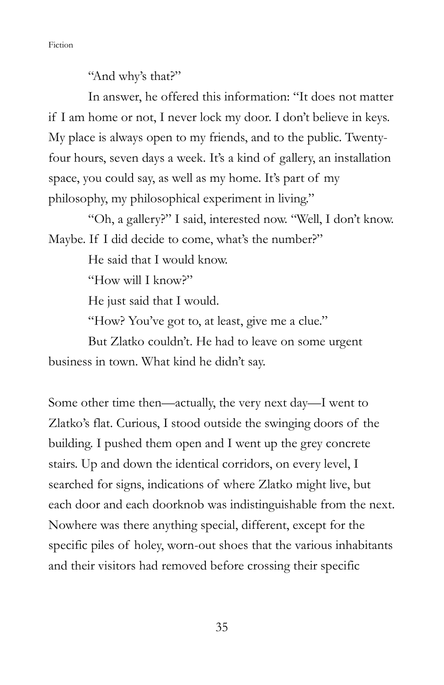"And why's that?"

 In answer, he offered this information: "It does not matter if I am home or not, I never lock my door. I don't believe in keys. My place is always open to my friends, and to the public. Twentyfour hours, seven days a week. It's a kind of gallery, an installation space, you could say, as well as my home. It's part of my philosophy, my philosophical experiment in living."

 "Oh, a gallery?" I said, interested now. "Well, I don't know. Maybe. If I did decide to come, what's the number?"

He said that I would know.

"How will I know?"

He just said that I would.

"How? You've got to, at least, give me a clue."

But Zlatko couldn't. He had to leave on some urgent

business in town. What kind he didn't say.

Some other time then—actually, the very next day—I went to Zlatko's flat. Curious, I stood outside the swinging doors of the building. I pushed them open and I went up the grey concrete stairs. Up and down the identical corridors, on every level, I searched for signs, indications of where Zlatko might live, but each door and each doorknob was indistinguishable from the next. Nowhere was there anything special, different, except for the specific piles of holey, worn-out shoes that the various inhabitants and their visitors had removed before crossing their specific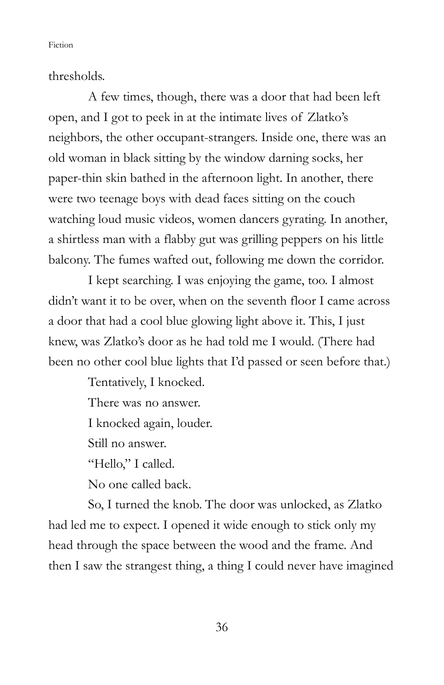thresholds.

 A few times, though, there was a door that had been left open, and I got to peek in at the intimate lives of Zlatko's neighbors, the other occupant-strangers. Inside one, there was an old woman in black sitting by the window darning socks, her paper-thin skin bathed in the afternoon light. In another, there were two teenage boys with dead faces sitting on the couch watching loud music videos, women dancers gyrating. In another, a shirtless man with a flabby gut was grilling peppers on his little balcony. The fumes wafted out, following me down the corridor.

 I kept searching. I was enjoying the game, too. I almost didn't want it to be over, when on the seventh floor I came across a door that had a cool blue glowing light above it. This, I just knew, was Zlatko's door as he had told me I would. (There had been no other cool blue lights that I'd passed or seen before that.)

> Tentatively, I knocked. There was no answer. I knocked again, louder. Still no answer. "Hello," I called. No one called back.

 So, I turned the knob. The door was unlocked, as Zlatko had led me to expect. I opened it wide enough to stick only my head through the space between the wood and the frame. And then I saw the strangest thing, a thing I could never have imagined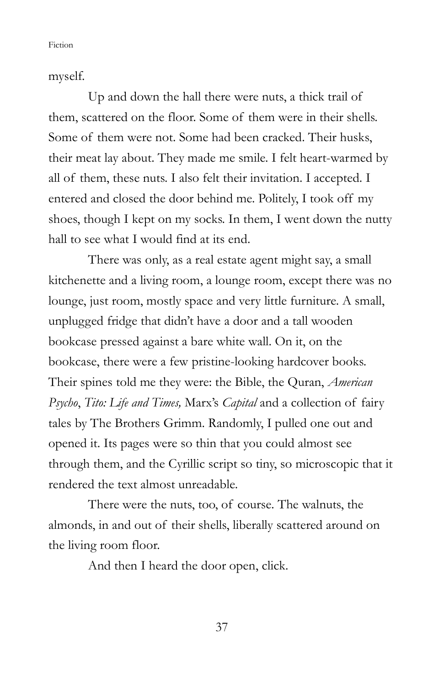myself.

 Up and down the hall there were nuts, a thick trail of them, scattered on the floor. Some of them were in their shells. Some of them were not. Some had been cracked. Their husks, their meat lay about. They made me smile. I felt heart-warmed by all of them, these nuts. I also felt their invitation. I accepted. I entered and closed the door behind me. Politely, I took off my shoes, though I kept on my socks. In them, I went down the nutty hall to see what I would find at its end.

 There was only, as a real estate agent might say, a small kitchenette and a living room, a lounge room, except there was no lounge, just room, mostly space and very little furniture. A small, unplugged fridge that didn't have a door and a tall wooden bookcase pressed against a bare white wall. On it, on the bookcase, there were a few pristine-looking hardcover books. Their spines told me they were: the Bible, the Quran, American Psycho, Tito: Life and Times, Marx's Capital and a collection of fairy tales by The Brothers Grimm. Randomly, I pulled one out and opened it. Its pages were so thin that you could almost see through them, and the Cyrillic script so tiny, so microscopic that it rendered the text almost unreadable.

 There were the nuts, too, of course. The walnuts, the almonds, in and out of their shells, liberally scattered around on the living room floor.

And then I heard the door open, click.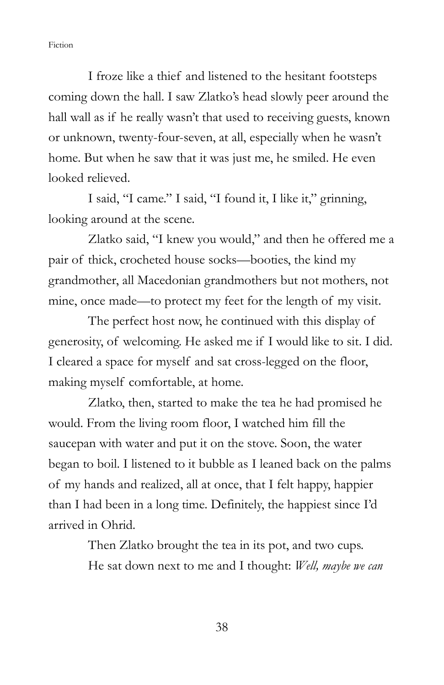I froze like a thief and listened to the hesitant footsteps coming down the hall. I saw Zlatko's head slowly peer around the hall wall as if he really wasn't that used to receiving guests, known or unknown, twenty-four-seven, at all, especially when he wasn't home. But when he saw that it was just me, he smiled. He even looked relieved.

 I said, "I came." I said, "I found it, I like it," grinning, looking around at the scene.

 Zlatko said, "I knew you would," and then he offered me a pair of thick, crocheted house socks—booties, the kind my grandmother, all Macedonian grandmothers but not mothers, not mine, once made—to protect my feet for the length of my visit.

 The perfect host now, he continued with this display of generosity, of welcoming. He asked me if I would like to sit. I did. I cleared a space for myself and sat cross-legged on the floor, making myself comfortable, at home.

 Zlatko, then, started to make the tea he had promised he would. From the living room floor, I watched him fill the saucepan with water and put it on the stove. Soon, the water began to boil. I listened to it bubble as I leaned back on the palms of my hands and realized, all at once, that I felt happy, happier than I had been in a long time. Definitely, the happiest since I'd arrived in Ohrid.

> Then Zlatko brought the tea in its pot, and two cups. He sat down next to me and I thought: Well, maybe we can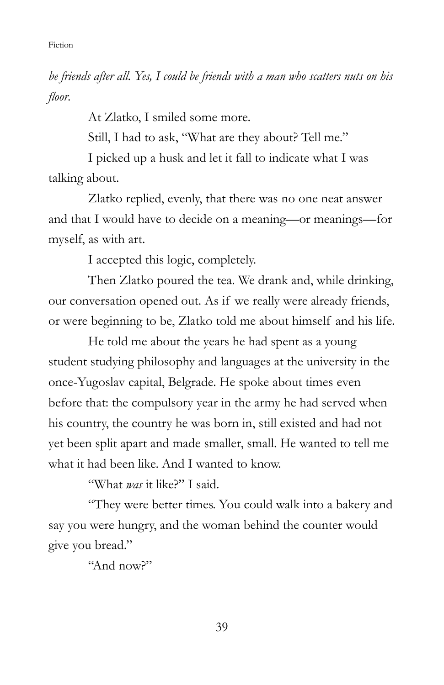be friends after all. Yes, I could be friends with a man who scatters nuts on his floor.

At Zlatko, I smiled some more.

Still, I had to ask, "What are they about? Tell me."

 I picked up a husk and let it fall to indicate what I was talking about.

 Zlatko replied, evenly, that there was no one neat answer and that I would have to decide on a meaning—or meanings—for myself, as with art.

I accepted this logic, completely.

 Then Zlatko poured the tea. We drank and, while drinking, our conversation opened out. As if we really were already friends, or were beginning to be, Zlatko told me about himself and his life.

 He told me about the years he had spent as a young student studying philosophy and languages at the university in the once-Yugoslav capital, Belgrade. He spoke about times even before that: the compulsory year in the army he had served when his country, the country he was born in, still existed and had not yet been split apart and made smaller, small. He wanted to tell me what it had been like. And I wanted to know.

"What was it like?" I said.

 "They were better times. You could walk into a bakery and say you were hungry, and the woman behind the counter would give you bread."

"And now?"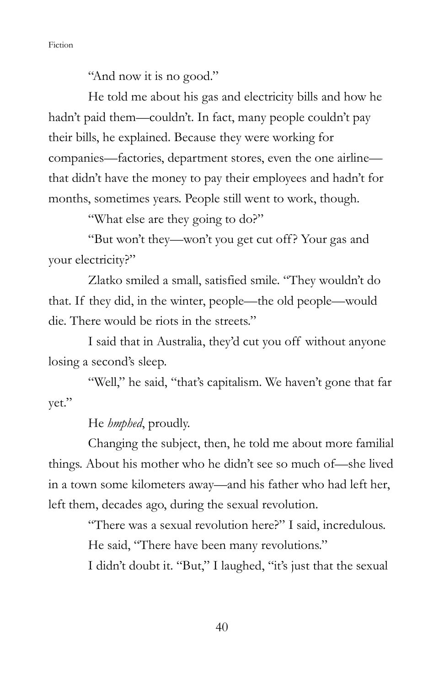"And now it is no good."

 He told me about his gas and electricity bills and how he hadn't paid them—couldn't. In fact, many people couldn't pay their bills, he explained. Because they were working for companies—factories, department stores, even the one airline that didn't have the money to pay their employees and hadn't for months, sometimes years. People still went to work, though.

"What else are they going to do?"

 "But won't they—won't you get cut off? Your gas and your electricity?"

 Zlatko smiled a small, satisfied smile. "They wouldn't do that. If they did, in the winter, people—the old people—would die. There would be riots in the streets."

 I said that in Australia, they'd cut you off without anyone losing a second's sleep.

"Well," he said, "that's capitalism. We haven't gone that far yet."

He *hmphed*, proudly.

 Changing the subject, then, he told me about more familial things. About his mother who he didn't see so much of—she lived in a town some kilometers away—and his father who had left her, left them, decades ago, during the sexual revolution.

> "There was a sexual revolution here?" I said, incredulous. He said, "There have been many revolutions."

> I didn't doubt it. "But," I laughed, "it's just that the sexual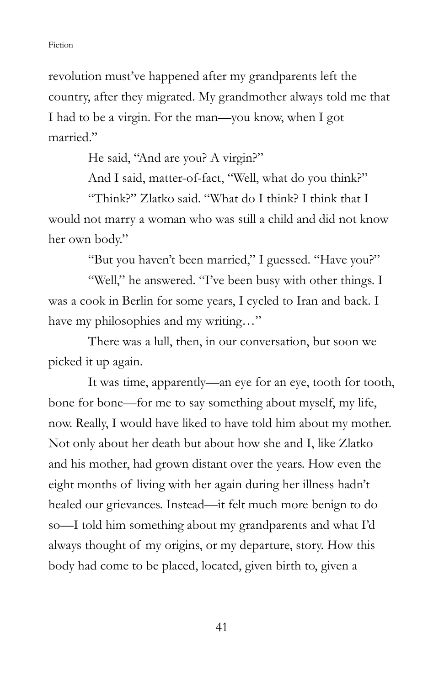revolution must've happened after my grandparents left the country, after they migrated. My grandmother always told me that I had to be a virgin. For the man—you know, when I got married."

He said, "And are you? A virgin?"

And I said, matter-of-fact, "Well, what do you think?"

 "Think?" Zlatko said. "What do I think? I think that I would not marry a woman who was still a child and did not know her own body."

"But you haven't been married," I guessed. "Have you?"

"Well," he answered. "I've been busy with other things. I was a cook in Berlin for some years, I cycled to Iran and back. I have my philosophies and my writing..."

 There was a lull, then, in our conversation, but soon we picked it up again.

 It was time, apparently—an eye for an eye, tooth for tooth, bone for bone—for me to say something about myself, my life, now. Really, I would have liked to have told him about my mother. Not only about her death but about how she and I, like Zlatko and his mother, had grown distant over the years. How even the eight months of living with her again during her illness hadn't healed our grievances. Instead—it felt much more benign to do so—I told him something about my grandparents and what I'd always thought of my origins, or my departure, story. How this body had come to be placed, located, given birth to, given a

41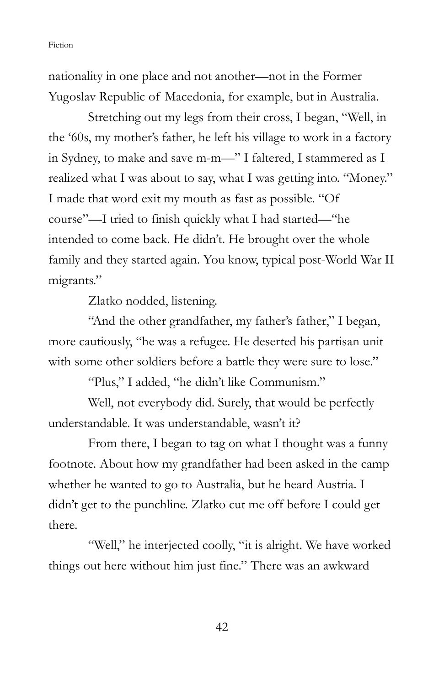nationality in one place and not another—not in the Former Yugoslav Republic of Macedonia, for example, but in Australia.

 Stretching out my legs from their cross, I began, "Well, in the '60s, my mother's father, he left his village to work in a factory in Sydney, to make and save m-m—" I faltered, I stammered as I realized what I was about to say, what I was getting into. "Money." I made that word exit my mouth as fast as possible. "Of course"—I tried to finish quickly what I had started—"he intended to come back. He didn't. He brought over the whole family and they started again. You know, typical post-World War II migrants."

Zlatko nodded, listening.

 "And the other grandfather, my father's father," I began, more cautiously, "he was a refugee. He deserted his partisan unit with some other soldiers before a battle they were sure to lose."

"Plus," I added, "he didn't like Communism."

 Well, not everybody did. Surely, that would be perfectly understandable. It was understandable, wasn't it?

 From there, I began to tag on what I thought was a funny footnote. About how my grandfather had been asked in the camp whether he wanted to go to Australia, but he heard Austria. I didn't get to the punchline. Zlatko cut me off before I could get there.

"Well," he interjected coolly, "it is alright. We have worked things out here without him just fine." There was an awkward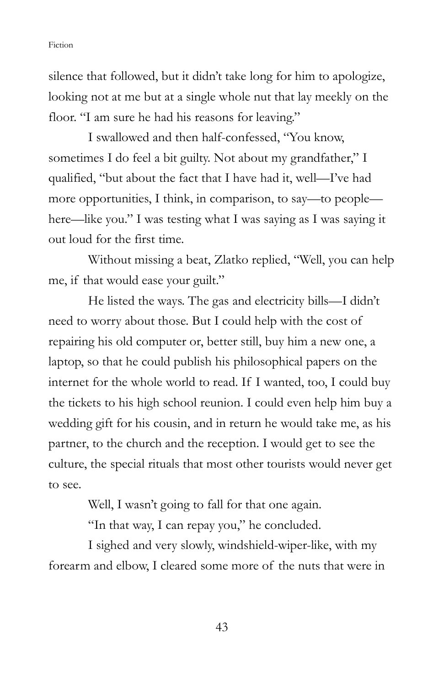silence that followed, but it didn't take long for him to apologize, looking not at me but at a single whole nut that lay meekly on the floor. "I am sure he had his reasons for leaving."

 I swallowed and then half-confessed, "You know, sometimes I do feel a bit guilty. Not about my grandfather," I qualified, "but about the fact that I have had it, well—I've had more opportunities, I think, in comparison, to say—to people here—like you." I was testing what I was saying as I was saying it out loud for the first time.

 Without missing a beat, Zlatko replied, "Well, you can help me, if that would ease your guilt."

 He listed the ways. The gas and electricity bills—I didn't need to worry about those. But I could help with the cost of repairing his old computer or, better still, buy him a new one, a laptop, so that he could publish his philosophical papers on the internet for the whole world to read. If I wanted, too, I could buy the tickets to his high school reunion. I could even help him buy a wedding gift for his cousin, and in return he would take me, as his partner, to the church and the reception. I would get to see the culture, the special rituals that most other tourists would never get to see.

Well, I wasn't going to fall for that one again.

"In that way, I can repay you," he concluded.

 I sighed and very slowly, windshield-wiper-like, with my forearm and elbow, I cleared some more of the nuts that were in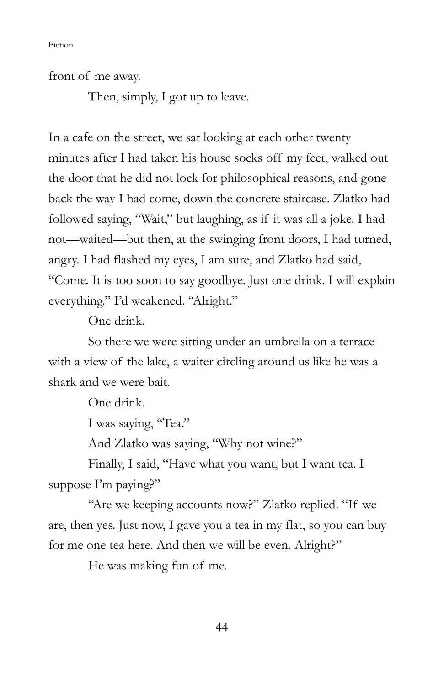front of me away.

Then, simply, I got up to leave.

In a cafe on the street, we sat looking at each other twenty minutes after I had taken his house socks off my feet, walked out the door that he did not lock for philosophical reasons, and gone back the way I had come, down the concrete staircase. Zlatko had followed saying, "Wait," but laughing, as if it was all a joke. I had not—waited—but then, at the swinging front doors, I had turned, angry. I had flashed my eyes, I am sure, and Zlatko had said, "Come. It is too soon to say goodbye. Just one drink. I will explain everything." I'd weakened. "Alright."

One drink.

 So there we were sitting under an umbrella on a terrace with a view of the lake, a waiter circling around us like he was a shark and we were bait.

One drink.

I was saying, "Tea."

And Zlatko was saying, "Why not wine?"

 Finally, I said, "Have what you want, but I want tea. I suppose I'm paying?"

 "Are we keeping accounts now?" Zlatko replied. "If we are, then yes. Just now, I gave you a tea in my flat, so you can buy for me one tea here. And then we will be even. Alright?"

He was making fun of me.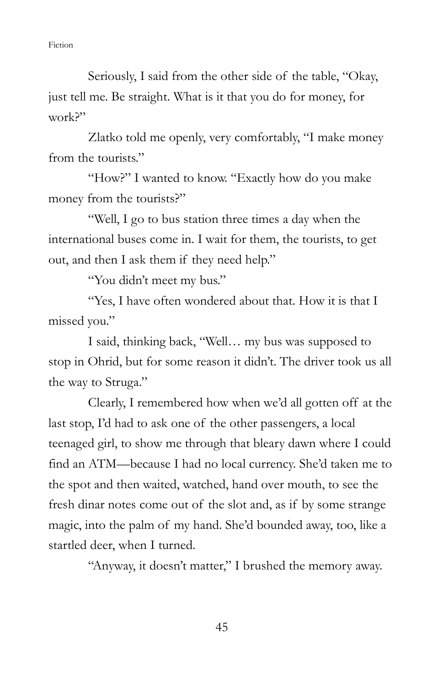Seriously, I said from the other side of the table, "Okay, just tell me. Be straight. What is it that you do for money, for work?"

 Zlatko told me openly, very comfortably, "I make money from the tourists."

 "How?" I wanted to know. "Exactly how do you make money from the tourists?"

 "Well, I go to bus station three times a day when the international buses come in. I wait for them, the tourists, to get out, and then I ask them if they need help."

"You didn't meet my bus."

 "Yes, I have often wondered about that. How it is that I missed you."

 I said, thinking back, "Well… my bus was supposed to stop in Ohrid, but for some reason it didn't. The driver took us all the way to Struga."

Clearly, I remembered how when we'd all gotten off at the last stop, I'd had to ask one of the other passengers, a local teenaged girl, to show me through that bleary dawn where I could find an ATM—because I had no local currency. She'd taken me to the spot and then waited, watched, hand over mouth, to see the fresh dinar notes come out of the slot and, as if by some strange magic, into the palm of my hand. She'd bounded away, too, like a startled deer, when I turned.

"Anyway, it doesn't matter," I brushed the memory away.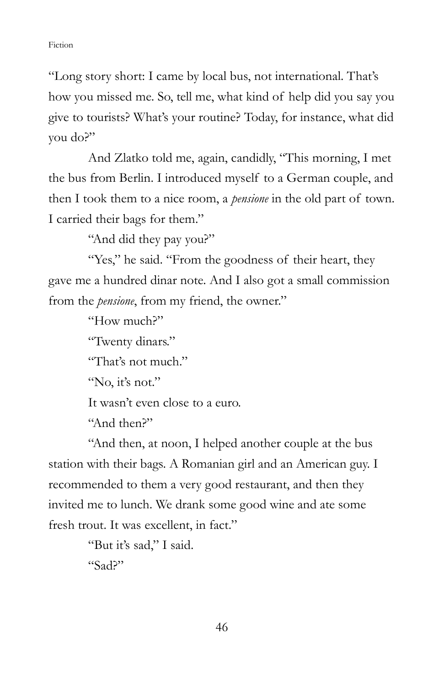"Long story short: I came by local bus, not international. That's how you missed me. So, tell me, what kind of help did you say you give to tourists? What's your routine? Today, for instance, what did you do?"

 And Zlatko told me, again, candidly, "This morning, I met the bus from Berlin. I introduced myself to a German couple, and then I took them to a nice room, a pensione in the old part of town. I carried their bags for them."

"And did they pay you?"

"Yes," he said. "From the goodness of their heart, they gave me a hundred dinar note. And I also got a small commission from the *pensione*, from my friend, the owner."

"How much?"

"Twenty dinars."

"That's not much."

"No, it's not."

It wasn't even close to a euro.

"And then?"

 "And then, at noon, I helped another couple at the bus station with their bags. A Romanian girl and an American guy. I recommended to them a very good restaurant, and then they invited me to lunch. We drank some good wine and ate some fresh trout. It was excellent, in fact."

```
 "But it's sad," I said. 
"Sad?"
```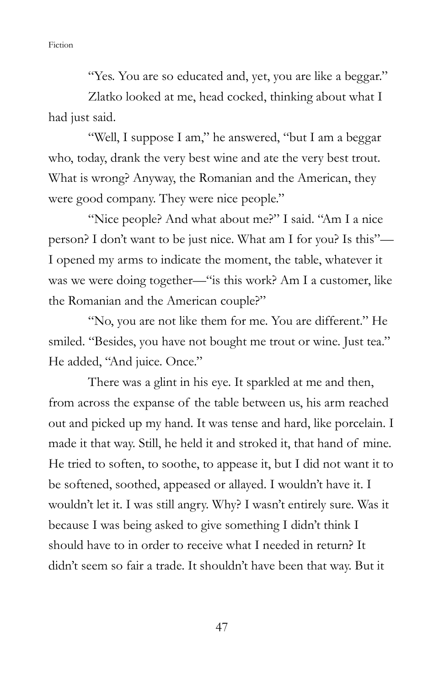"Yes. You are so educated and, yet, you are like a beggar."

 Zlatko looked at me, head cocked, thinking about what I had just said.

 "Well, I suppose I am," he answered, "but I am a beggar who, today, drank the very best wine and ate the very best trout. What is wrong? Anyway, the Romanian and the American, they were good company. They were nice people."

"Nice people? And what about me?" I said. "Am I a nice" person? I don't want to be just nice. What am I for you? Is this"— I opened my arms to indicate the moment, the table, whatever it was we were doing together—"is this work? Am I a customer, like the Romanian and the American couple?"

 "No, you are not like them for me. You are different." He smiled. "Besides, you have not bought me trout or wine. Just tea." He added, "And juice. Once."

 There was a glint in his eye. It sparkled at me and then, from across the expanse of the table between us, his arm reached out and picked up my hand. It was tense and hard, like porcelain. I made it that way. Still, he held it and stroked it, that hand of mine. He tried to soften, to soothe, to appease it, but I did not want it to be softened, soothed, appeased or allayed. I wouldn't have it. I wouldn't let it. I was still angry. Why? I wasn't entirely sure. Was it because I was being asked to give something I didn't think I should have to in order to receive what I needed in return? It didn't seem so fair a trade. It shouldn't have been that way. But it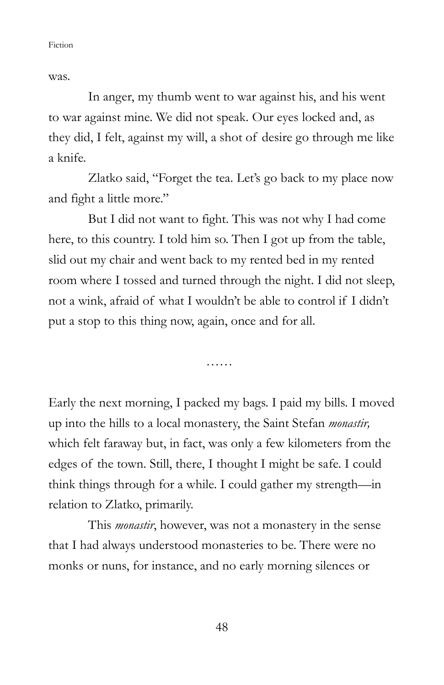was.

 In anger, my thumb went to war against his, and his went to war against mine. We did not speak. Our eyes locked and, as they did, I felt, against my will, a shot of desire go through me like a knife.

 Zlatko said, "Forget the tea. Let's go back to my place now and fight a little more."

 But I did not want to fight. This was not why I had come here, to this country. I told him so. Then I got up from the table, slid out my chair and went back to my rented bed in my rented room where I tossed and turned through the night. I did not sleep, not a wink, afraid of what I wouldn't be able to control if I didn't put a stop to this thing now, again, once and for all.

……

Early the next morning, I packed my bags. I paid my bills. I moved up into the hills to a local monastery, the Saint Stefan monastir, which felt faraway but, in fact, was only a few kilometers from the edges of the town. Still, there, I thought I might be safe. I could think things through for a while. I could gather my strength—in relation to Zlatko, primarily.

This *monastir*, however, was not a monastery in the sense that I had always understood monasteries to be. There were no monks or nuns, for instance, and no early morning silences or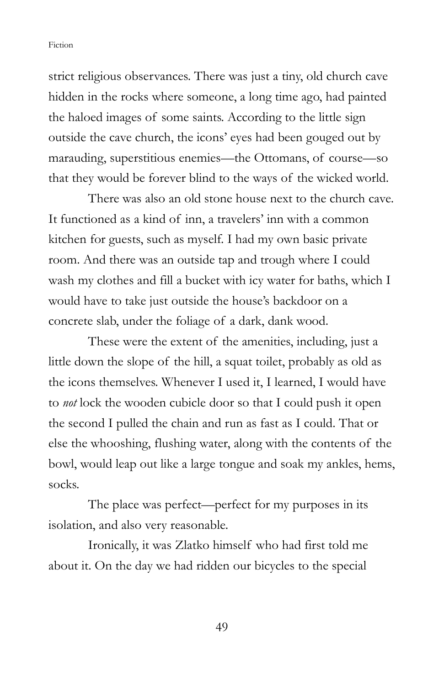strict religious observances. There was just a tiny, old church cave hidden in the rocks where someone, a long time ago, had painted the haloed images of some saints. According to the little sign outside the cave church, the icons' eyes had been gouged out by marauding, superstitious enemies—the Ottomans, of course—so that they would be forever blind to the ways of the wicked world.

 There was also an old stone house next to the church cave. It functioned as a kind of inn, a travelers' inn with a common kitchen for guests, such as myself. I had my own basic private room. And there was an outside tap and trough where I could wash my clothes and fill a bucket with icy water for baths, which I would have to take just outside the house's backdoor on a concrete slab, under the foliage of a dark, dank wood.

 These were the extent of the amenities, including, just a little down the slope of the hill, a squat toilet, probably as old as the icons themselves. Whenever I used it, I learned, I would have to not lock the wooden cubicle door so that I could push it open the second I pulled the chain and run as fast as I could. That or else the whooshing, flushing water, along with the contents of the bowl, would leap out like a large tongue and soak my ankles, hems, socks.

The place was perfect—perfect for my purposes in its isolation, and also very reasonable.

 Ironically, it was Zlatko himself who had first told me about it. On the day we had ridden our bicycles to the special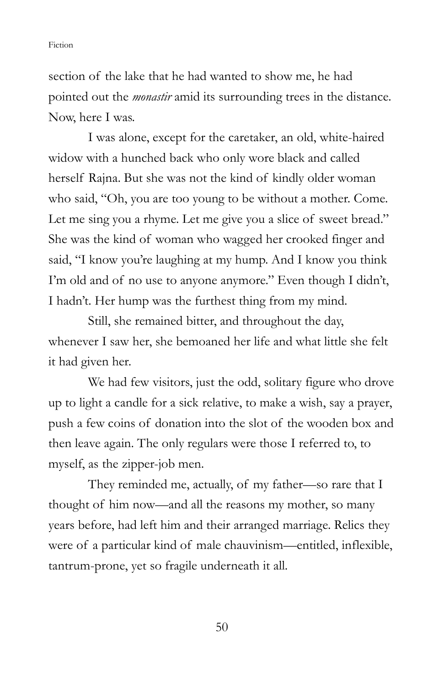section of the lake that he had wanted to show me, he had pointed out the monastir amid its surrounding trees in the distance. Now, here I was.

 I was alone, except for the caretaker, an old, white-haired widow with a hunched back who only wore black and called herself Rajna. But she was not the kind of kindly older woman who said, "Oh, you are too young to be without a mother. Come. Let me sing you a rhyme. Let me give you a slice of sweet bread." She was the kind of woman who wagged her crooked finger and said, "I know you're laughing at my hump. And I know you think I'm old and of no use to anyone anymore." Even though I didn't, I hadn't. Her hump was the furthest thing from my mind.

 Still, she remained bitter, and throughout the day, whenever I saw her, she bemoaned her life and what little she felt it had given her.

 We had few visitors, just the odd, solitary figure who drove up to light a candle for a sick relative, to make a wish, say a prayer, push a few coins of donation into the slot of the wooden box and then leave again. The only regulars were those I referred to, to myself, as the zipper-job men.

 They reminded me, actually, of my father—so rare that I thought of him now—and all the reasons my mother, so many years before, had left him and their arranged marriage. Relics they were of a particular kind of male chauvinism—entitled, inflexible, tantrum-prone, yet so fragile underneath it all.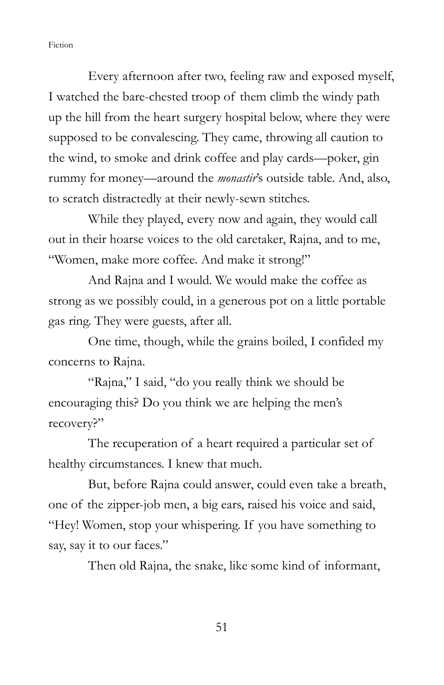Every afternoon after two, feeling raw and exposed myself, I watched the bare-chested troop of them climb the windy path up the hill from the heart surgery hospital below, where they were supposed to be convalescing. They came, throwing all caution to the wind, to smoke and drink coffee and play cards—poker, gin rummy for money—around the monastir's outside table. And, also, to scratch distractedly at their newly-sewn stitches.

 While they played, every now and again, they would call out in their hoarse voices to the old caretaker, Rajna, and to me, "Women, make more coffee. And make it strong!"

 And Rajna and I would. We would make the coffee as strong as we possibly could, in a generous pot on a little portable gas ring. They were guests, after all.

 One time, though, while the grains boiled, I confided my concerns to Rajna.

 "Rajna," I said, "do you really think we should be encouraging this? Do you think we are helping the men's recovery?"

 The recuperation of a heart required a particular set of healthy circumstances. I knew that much.

 But, before Rajna could answer, could even take a breath, one of the zipper-job men, a big ears, raised his voice and said, "Hey! Women, stop your whispering. If you have something to say, say it to our faces."

Then old Rajna, the snake, like some kind of informant,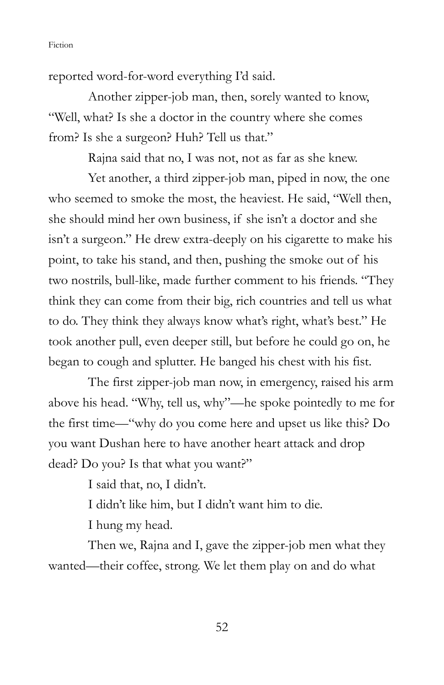reported word-for-word everything I'd said.

 Another zipper-job man, then, sorely wanted to know, "Well, what? Is she a doctor in the country where she comes from? Is she a surgeon? Huh? Tell us that."

Rajna said that no, I was not, not as far as she knew.

 Yet another, a third zipper-job man, piped in now, the one who seemed to smoke the most, the heaviest. He said, "Well then, she should mind her own business, if she isn't a doctor and she isn't a surgeon." He drew extra-deeply on his cigarette to make his point, to take his stand, and then, pushing the smoke out of his two nostrils, bull-like, made further comment to his friends. "They think they can come from their big, rich countries and tell us what to do. They think they always know what's right, what's best." He took another pull, even deeper still, but before he could go on, he began to cough and splutter. He banged his chest with his fist.

 The first zipper-job man now, in emergency, raised his arm above his head. "Why, tell us, why"—he spoke pointedly to me for the first time—"why do you come here and upset us like this? Do you want Dushan here to have another heart attack and drop dead? Do you? Is that what you want?"

I said that, no, I didn't.

I didn't like him, but I didn't want him to die.

I hung my head.

 Then we, Rajna and I, gave the zipper-job men what they wanted—their coffee, strong. We let them play on and do what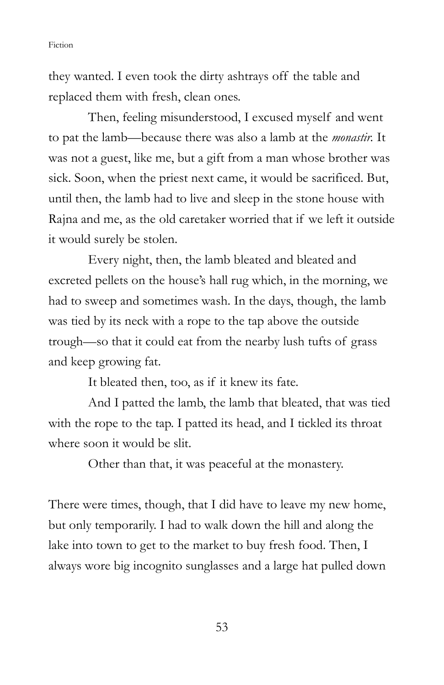they wanted. I even took the dirty ashtrays off the table and replaced them with fresh, clean ones.

 Then, feeling misunderstood, I excused myself and went to pat the lamb—because there was also a lamb at the monastir. It was not a guest, like me, but a gift from a man whose brother was sick. Soon, when the priest next came, it would be sacrificed. But, until then, the lamb had to live and sleep in the stone house with Rajna and me, as the old caretaker worried that if we left it outside it would surely be stolen.

 Every night, then, the lamb bleated and bleated and excreted pellets on the house's hall rug which, in the morning, we had to sweep and sometimes wash. In the days, though, the lamb was tied by its neck with a rope to the tap above the outside trough—so that it could eat from the nearby lush tufts of grass and keep growing fat.

It bleated then, too, as if it knew its fate.

 And I patted the lamb, the lamb that bleated, that was tied with the rope to the tap. I patted its head, and I tickled its throat where soon it would be slit.

Other than that, it was peaceful at the monastery.

There were times, though, that I did have to leave my new home, but only temporarily. I had to walk down the hill and along the lake into town to get to the market to buy fresh food. Then, I always wore big incognito sunglasses and a large hat pulled down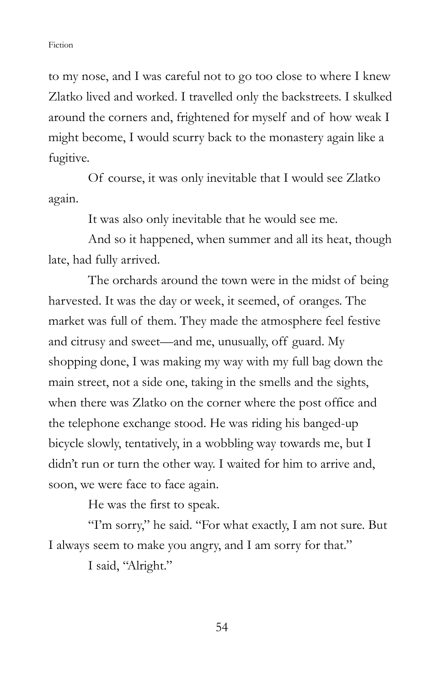to my nose, and I was careful not to go too close to where I knew Zlatko lived and worked. I travelled only the backstreets. I skulked around the corners and, frightened for myself and of how weak I might become, I would scurry back to the monastery again like a fugitive.

 Of course, it was only inevitable that I would see Zlatko again.

It was also only inevitable that he would see me.

 And so it happened, when summer and all its heat, though late, had fully arrived.

 The orchards around the town were in the midst of being harvested. It was the day or week, it seemed, of oranges. The market was full of them. They made the atmosphere feel festive and citrusy and sweet—and me, unusually, off guard. My shopping done, I was making my way with my full bag down the main street, not a side one, taking in the smells and the sights, when there was Zlatko on the corner where the post office and the telephone exchange stood. He was riding his banged-up bicycle slowly, tentatively, in a wobbling way towards me, but I didn't run or turn the other way. I waited for him to arrive and, soon, we were face to face again.

He was the first to speak.

"I'm sorry," he said. "For what exactly, I am not sure. But I always seem to make you angry, and I am sorry for that."

I said, "Alright."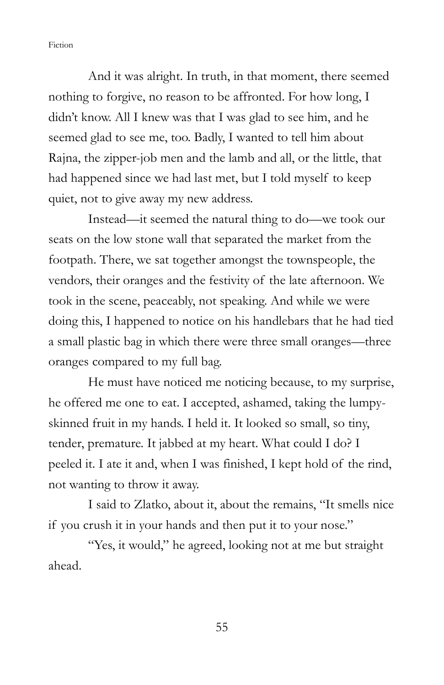And it was alright. In truth, in that moment, there seemed nothing to forgive, no reason to be affronted. For how long, I didn't know. All I knew was that I was glad to see him, and he seemed glad to see me, too. Badly, I wanted to tell him about Rajna, the zipper-job men and the lamb and all, or the little, that had happened since we had last met, but I told myself to keep quiet, not to give away my new address.

 Instead—it seemed the natural thing to do—we took our seats on the low stone wall that separated the market from the footpath. There, we sat together amongst the townspeople, the vendors, their oranges and the festivity of the late afternoon. We took in the scene, peaceably, not speaking. And while we were doing this, I happened to notice on his handlebars that he had tied a small plastic bag in which there were three small oranges—three oranges compared to my full bag.

 He must have noticed me noticing because, to my surprise, he offered me one to eat. I accepted, ashamed, taking the lumpyskinned fruit in my hands. I held it. It looked so small, so tiny, tender, premature. It jabbed at my heart. What could I do? I peeled it. I ate it and, when I was finished, I kept hold of the rind, not wanting to throw it away.

 I said to Zlatko, about it, about the remains, "It smells nice if you crush it in your hands and then put it to your nose."

 "Yes, it would," he agreed, looking not at me but straight ahead.

55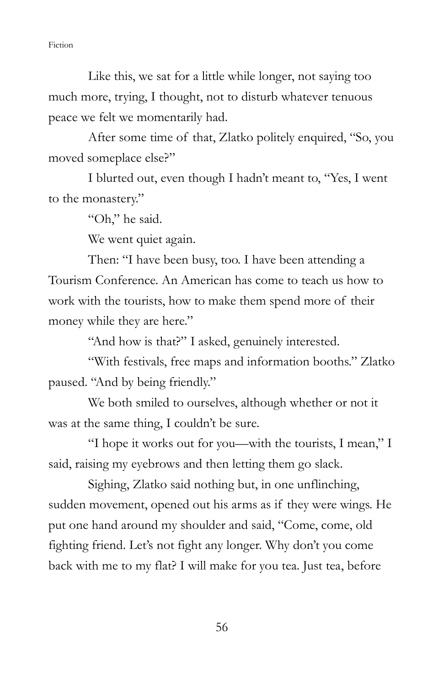Like this, we sat for a little while longer, not saying too much more, trying, I thought, not to disturb whatever tenuous peace we felt we momentarily had.

 After some time of that, Zlatko politely enquired, "So, you moved someplace else?"

 I blurted out, even though I hadn't meant to, "Yes, I went to the monastery."

"Oh," he said.

We went quiet again.

 Then: "I have been busy, too. I have been attending a Tourism Conference. An American has come to teach us how to work with the tourists, how to make them spend more of their money while they are here."

"And how is that?" I asked, genuinely interested.

 "With festivals, free maps and information booths." Zlatko paused. "And by being friendly."

 We both smiled to ourselves, although whether or not it was at the same thing, I couldn't be sure.

 "I hope it works out for you—with the tourists, I mean," I said, raising my eyebrows and then letting them go slack.

 Sighing, Zlatko said nothing but, in one unflinching, sudden movement, opened out his arms as if they were wings. He put one hand around my shoulder and said, "Come, come, old fighting friend. Let's not fight any longer. Why don't you come back with me to my flat? I will make for you tea. Just tea, before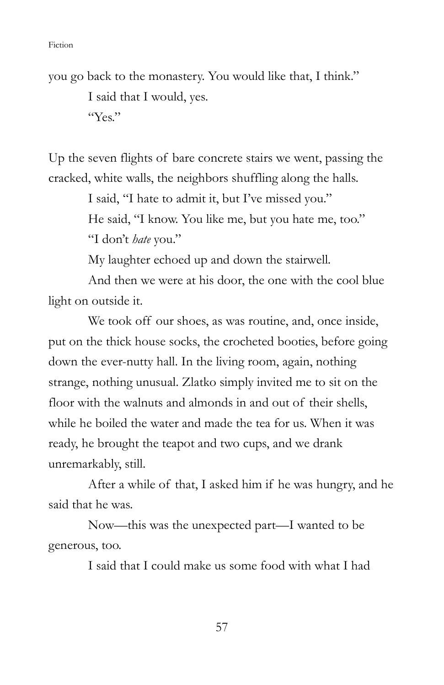you go back to the monastery. You would like that, I think." I said that I would, yes. "Yes."

Up the seven flights of bare concrete stairs we went, passing the cracked, white walls, the neighbors shuffling along the halls.

> I said, "I hate to admit it, but I've missed you." He said, "I know. You like me, but you hate me, too." "I don't hate you."

My laughter echoed up and down the stairwell.

 And then we were at his door, the one with the cool blue light on outside it.

We took off our shoes, as was routine, and, once inside, put on the thick house socks, the crocheted booties, before going down the ever-nutty hall. In the living room, again, nothing strange, nothing unusual. Zlatko simply invited me to sit on the floor with the walnuts and almonds in and out of their shells, while he boiled the water and made the tea for us. When it was ready, he brought the teapot and two cups, and we drank unremarkably, still.

 After a while of that, I asked him if he was hungry, and he said that he was.

 Now—this was the unexpected part—I wanted to be generous, too.

I said that I could make us some food with what I had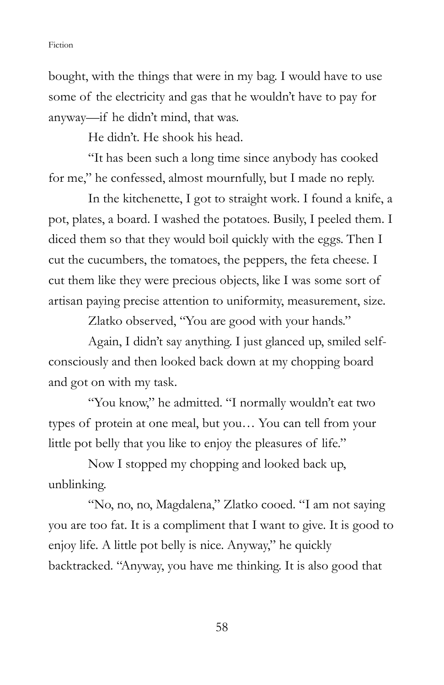bought, with the things that were in my bag. I would have to use some of the electricity and gas that he wouldn't have to pay for anyway—if he didn't mind, that was.

He didn't. He shook his head.

 "It has been such a long time since anybody has cooked for me," he confessed, almost mournfully, but I made no reply.

 In the kitchenette, I got to straight work. I found a knife, a pot, plates, a board. I washed the potatoes. Busily, I peeled them. I diced them so that they would boil quickly with the eggs. Then I cut the cucumbers, the tomatoes, the peppers, the feta cheese. I cut them like they were precious objects, like I was some sort of artisan paying precise attention to uniformity, measurement, size.

Zlatko observed, "You are good with your hands."

 Again, I didn't say anything. I just glanced up, smiled selfconsciously and then looked back down at my chopping board and got on with my task.

 "You know," he admitted. "I normally wouldn't eat two types of protein at one meal, but you… You can tell from your little pot belly that you like to enjoy the pleasures of life."

 Now I stopped my chopping and looked back up, unblinking.

 "No, no, no, Magdalena," Zlatko cooed. "I am not saying you are too fat. It is a compliment that I want to give. It is good to enjoy life. A little pot belly is nice. Anyway," he quickly backtracked. "Anyway, you have me thinking. It is also good that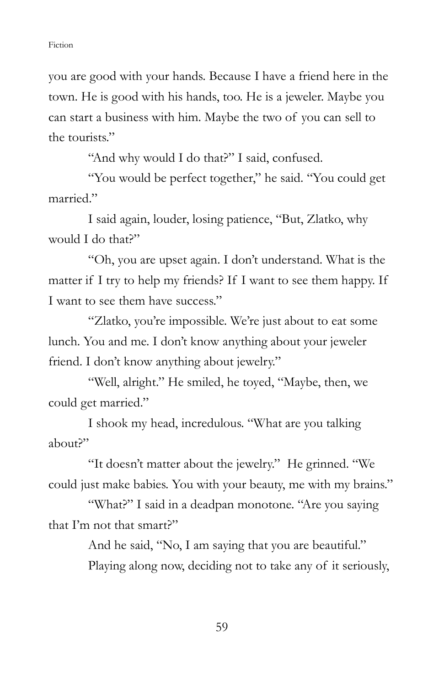you are good with your hands. Because I have a friend here in the town. He is good with his hands, too. He is a jeweler. Maybe you can start a business with him. Maybe the two of you can sell to the tourists"

"And why would I do that?" I said, confused.

 "You would be perfect together," he said. "You could get married."

 I said again, louder, losing patience, "But, Zlatko, why would I do that?"

 "Oh, you are upset again. I don't understand. What is the matter if I try to help my friends? If I want to see them happy. If I want to see them have success."

 "Zlatko, you're impossible. We're just about to eat some lunch. You and me. I don't know anything about your jeweler friend. I don't know anything about jewelry."

 "Well, alright." He smiled, he toyed, "Maybe, then, we could get married."

 I shook my head, incredulous. "What are you talking about?"

 "It doesn't matter about the jewelry." He grinned. "We could just make babies. You with your beauty, me with my brains."

"What?" I said in a deadpan monotone. "Are you saying that I'm not that smart?"

> And he said, "No, I am saying that you are beautiful." Playing along now, deciding not to take any of it seriously,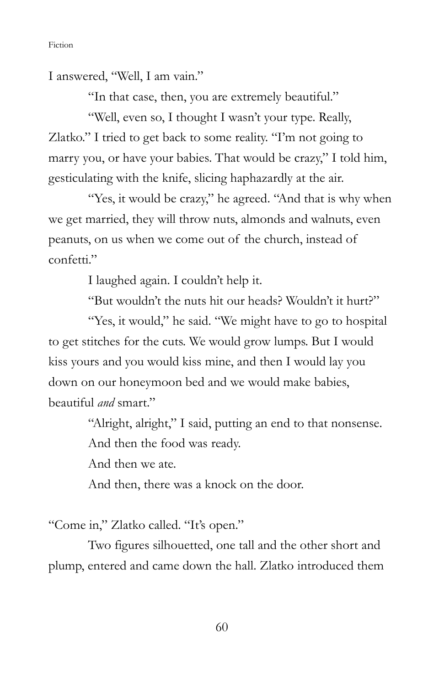I answered, "Well, I am vain."

"In that case, then, you are extremely beautiful."

 "Well, even so, I thought I wasn't your type. Really, Zlatko." I tried to get back to some reality. "I'm not going to marry you, or have your babies. That would be crazy," I told him, gesticulating with the knife, slicing haphazardly at the air.

"Yes, it would be crazy," he agreed. "And that is why when we get married, they will throw nuts, almonds and walnuts, even peanuts, on us when we come out of the church, instead of confetti."

I laughed again. I couldn't help it.

"But wouldn't the nuts hit our heads? Wouldn't it hurt?"

 "Yes, it would," he said. "We might have to go to hospital to get stitches for the cuts. We would grow lumps. But I would kiss yours and you would kiss mine, and then I would lay you down on our honeymoon bed and we would make babies, beautiful and smart."

"Alright, alright," I said, putting an end to that nonsense.

And then the food was ready.

And then we ate.

And then, there was a knock on the door.

"Come in," Zlatko called. "It's open."

 Two figures silhouetted, one tall and the other short and plump, entered and came down the hall. Zlatko introduced them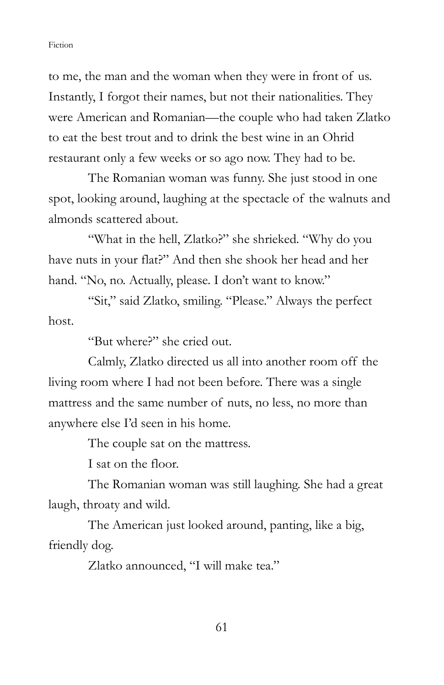to me, the man and the woman when they were in front of us. Instantly, I forgot their names, but not their nationalities. They were American and Romanian—the couple who had taken Zlatko to eat the best trout and to drink the best wine in an Ohrid restaurant only a few weeks or so ago now. They had to be.

 The Romanian woman was funny. She just stood in one spot, looking around, laughing at the spectacle of the walnuts and almonds scattered about.

"What in the hell, Zlatko?" she shrieked. "Why do you have nuts in your flat?" And then she shook her head and her hand. "No, no. Actually, please. I don't want to know."

 "Sit," said Zlatko, smiling. "Please." Always the perfect host.

"But where?" she cried out.

 Calmly, Zlatko directed us all into another room off the living room where I had not been before. There was a single mattress and the same number of nuts, no less, no more than anywhere else I'd seen in his home.

The couple sat on the mattress.

I sat on the floor.

The Romanian woman was still laughing. She had a great laugh, throaty and wild.

 The American just looked around, panting, like a big, friendly dog.

Zlatko announced, "I will make tea."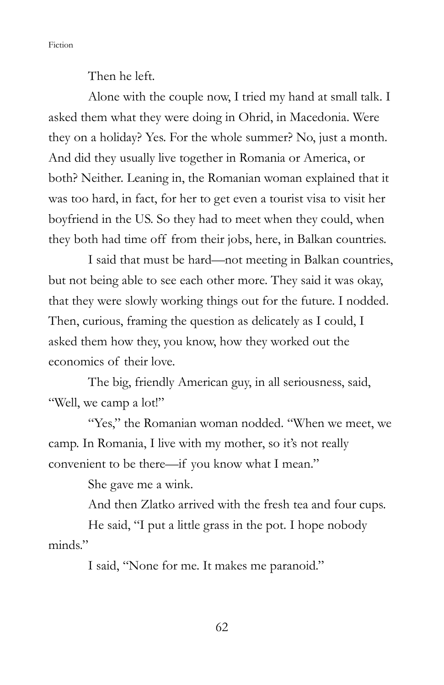Then he left.

 Alone with the couple now, I tried my hand at small talk. I asked them what they were doing in Ohrid, in Macedonia. Were they on a holiday? Yes. For the whole summer? No, just a month. And did they usually live together in Romania or America, or both? Neither. Leaning in, the Romanian woman explained that it was too hard, in fact, for her to get even a tourist visa to visit her boyfriend in the US. So they had to meet when they could, when they both had time off from their jobs, here, in Balkan countries.

 I said that must be hard—not meeting in Balkan countries, but not being able to see each other more. They said it was okay, that they were slowly working things out for the future. I nodded. Then, curious, framing the question as delicately as I could, I asked them how they, you know, how they worked out the economics of their love.

 The big, friendly American guy, in all seriousness, said, "Well, we camp a lot!"

 "Yes," the Romanian woman nodded. "When we meet, we camp. In Romania, I live with my mother, so it's not really convenient to be there—if you know what I mean."

She gave me a wink.

And then Zlatko arrived with the fresh tea and four cups.

 He said, "I put a little grass in the pot. I hope nobody minds"

I said, "None for me. It makes me paranoid."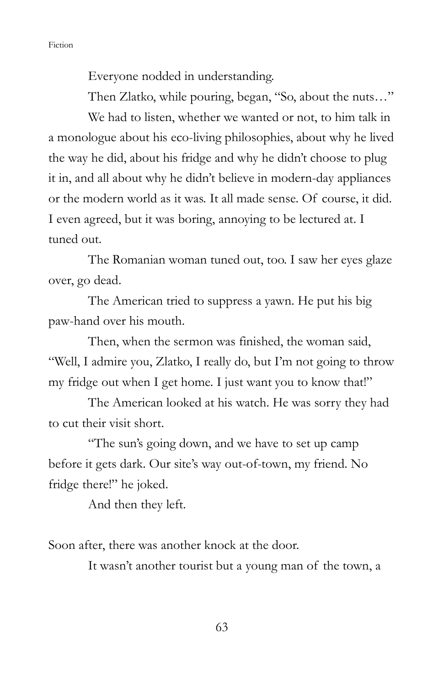Everyone nodded in understanding.

Then Zlatko, while pouring, began, "So, about the nuts…"

 We had to listen, whether we wanted or not, to him talk in a monologue about his eco-living philosophies, about why he lived the way he did, about his fridge and why he didn't choose to plug it in, and all about why he didn't believe in modern-day appliances or the modern world as it was. It all made sense. Of course, it did. I even agreed, but it was boring, annoying to be lectured at. I tuned out.

 The Romanian woman tuned out, too. I saw her eyes glaze over, go dead.

 The American tried to suppress a yawn. He put his big paw-hand over his mouth.

 Then, when the sermon was finished, the woman said, "Well, I admire you, Zlatko, I really do, but I'm not going to throw my fridge out when I get home. I just want you to know that!"

 The American looked at his watch. He was sorry they had to cut their visit short.

"The sun's going down, and we have to set up camp before it gets dark. Our site's way out-of-town, my friend. No fridge there!" he joked.

And then they left.

Soon after, there was another knock at the door.

It wasn't another tourist but a young man of the town, a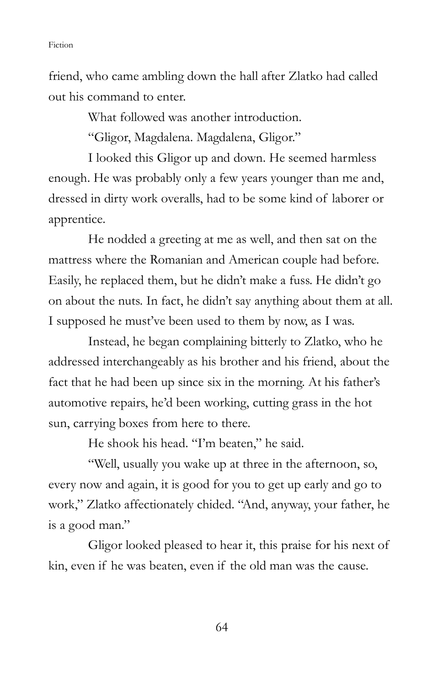friend, who came ambling down the hall after Zlatko had called out his command to enter.

What followed was another introduction.

"Gligor, Magdalena. Magdalena, Gligor."

I looked this Gligor up and down. He seemed harmless enough. He was probably only a few years younger than me and, dressed in dirty work overalls, had to be some kind of laborer or apprentice.

 He nodded a greeting at me as well, and then sat on the mattress where the Romanian and American couple had before. Easily, he replaced them, but he didn't make a fuss. He didn't go on about the nuts. In fact, he didn't say anything about them at all. I supposed he must've been used to them by now, as I was.

 Instead, he began complaining bitterly to Zlatko, who he addressed interchangeably as his brother and his friend, about the fact that he had been up since six in the morning. At his father's automotive repairs, he'd been working, cutting grass in the hot sun, carrying boxes from here to there.

He shook his head. "I'm beaten," he said.

 "Well, usually you wake up at three in the afternoon, so, every now and again, it is good for you to get up early and go to work," Zlatko affectionately chided. "And, anyway, your father, he is a good man."

 Gligor looked pleased to hear it, this praise for his next of kin, even if he was beaten, even if the old man was the cause.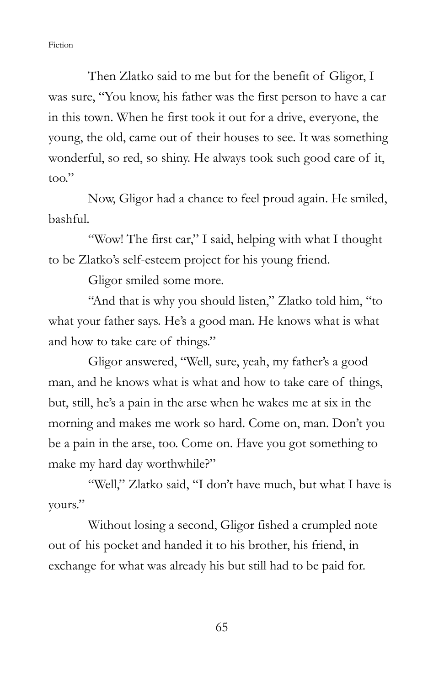Then Zlatko said to me but for the benefit of Gligor, I was sure, "You know, his father was the first person to have a car in this town. When he first took it out for a drive, everyone, the young, the old, came out of their houses to see. It was something wonderful, so red, so shiny. He always took such good care of it, too."

 Now, Gligor had a chance to feel proud again. He smiled, bashful.

 "Wow! The first car," I said, helping with what I thought to be Zlatko's self-esteem project for his young friend.

Gligor smiled some more.

 "And that is why you should listen," Zlatko told him, "to what your father says. He's a good man. He knows what is what and how to take care of things."

 Gligor answered, "Well, sure, yeah, my father's a good man, and he knows what is what and how to take care of things, but, still, he's a pain in the arse when he wakes me at six in the morning and makes me work so hard. Come on, man. Don't you be a pain in the arse, too. Come on. Have you got something to make my hard day worthwhile?"

"Well," Zlatko said, "I don't have much, but what I have is yours."

 Without losing a second, Gligor fished a crumpled note out of his pocket and handed it to his brother, his friend, in exchange for what was already his but still had to be paid for.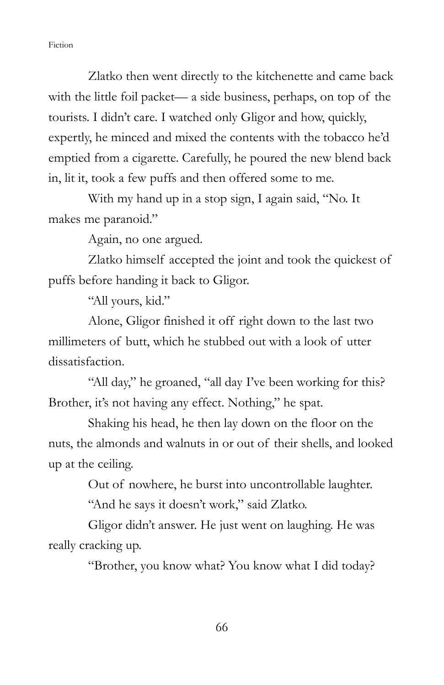Zlatko then went directly to the kitchenette and came back with the little foil packet— a side business, perhaps, on top of the tourists. I didn't care. I watched only Gligor and how, quickly, expertly, he minced and mixed the contents with the tobacco he'd emptied from a cigarette. Carefully, he poured the new blend back in, lit it, took a few puffs and then offered some to me.

 With my hand up in a stop sign, I again said, "No. It makes me paranoid."

Again, no one argued.

 Zlatko himself accepted the joint and took the quickest of puffs before handing it back to Gligor.

"All yours, kid."

 Alone, Gligor finished it off right down to the last two millimeters of butt, which he stubbed out with a look of utter dissatisfaction.

 "All day," he groaned, "all day I've been working for this? Brother, it's not having any effect. Nothing," he spat.

 Shaking his head, he then lay down on the floor on the nuts, the almonds and walnuts in or out of their shells, and looked up at the ceiling.

Out of nowhere, he burst into uncontrollable laughter.

"And he says it doesn't work," said Zlatko.

 Gligor didn't answer. He just went on laughing. He was really cracking up.

"Brother, you know what? You know what I did today?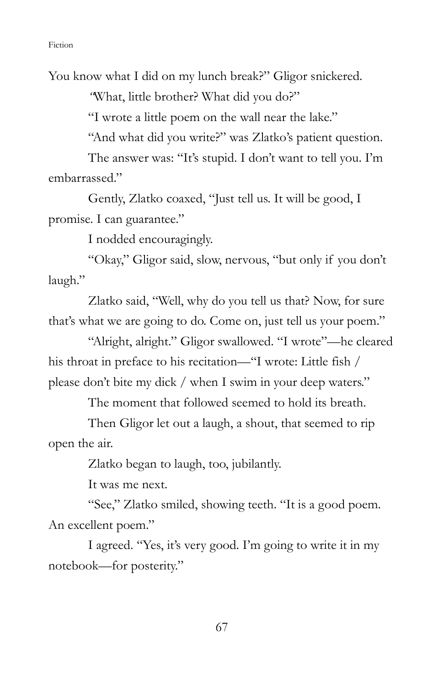You know what I did on my lunch break?" Gligor snickered.

"What, little brother? What did you do?"

"I wrote a little poem on the wall near the lake."

"And what did you write?" was Zlatko's patient question.

 The answer was: "It's stupid. I don't want to tell you. I'm embarrassed."

 Gently, Zlatko coaxed, "Just tell us. It will be good, I promise. I can guarantee."

I nodded encouragingly.

 "Okay," Gligor said, slow, nervous, "but only if you don't laugh."

 Zlatko said, "Well, why do you tell us that? Now, for sure that's what we are going to do. Come on, just tell us your poem."

 "Alright, alright." Gligor swallowed. "I wrote"—he cleared his throat in preface to his recitation—"I wrote: Little fish / please don't bite my dick / when I swim in your deep waters."

The moment that followed seemed to hold its breath.

Then Gligor let out a laugh, a shout, that seemed to rip open the air.

Zlatko began to laugh, too, jubilantly.

It was me next.

 "See," Zlatko smiled, showing teeth. "It is a good poem. An excellent poem."

 I agreed. "Yes, it's very good. I'm going to write it in my notebook—for posterity."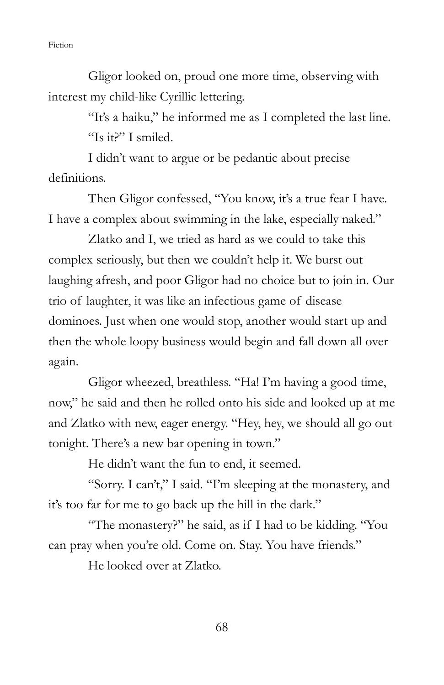Gligor looked on, proud one more time, observing with interest my child-like Cyrillic lettering.

> "It's a haiku," he informed me as I completed the last line. "Is it?" I smiled.

 I didn't want to argue or be pedantic about precise definitions.

 Then Gligor confessed, "You know, it's a true fear I have. I have a complex about swimming in the lake, especially naked."

 Zlatko and I, we tried as hard as we could to take this complex seriously, but then we couldn't help it. We burst out laughing afresh, and poor Gligor had no choice but to join in. Our trio of laughter, it was like an infectious game of disease dominoes. Just when one would stop, another would start up and then the whole loopy business would begin and fall down all over again.

 Gligor wheezed, breathless. "Ha! I'm having a good time, now," he said and then he rolled onto his side and looked up at me and Zlatko with new, eager energy. "Hey, hey, we should all go out tonight. There's a new bar opening in town."

He didn't want the fun to end, it seemed.

 "Sorry. I can't," I said. "I'm sleeping at the monastery, and it's too far for me to go back up the hill in the dark."

 "The monastery?" he said, as if I had to be kidding. "You can pray when you're old. Come on. Stay. You have friends."

He looked over at Zlatko.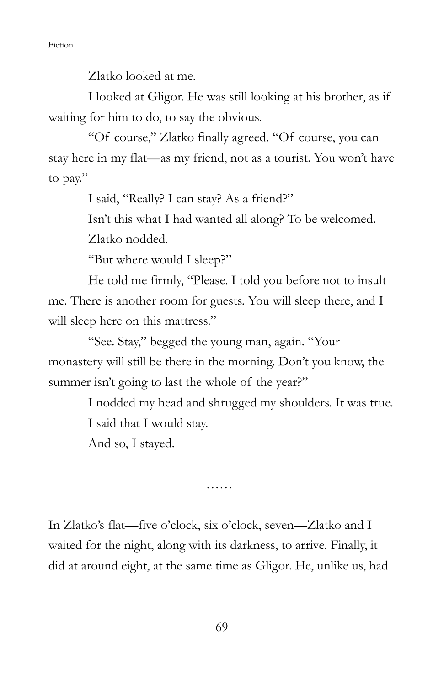Zlatko looked at me.

 I looked at Gligor. He was still looking at his brother, as if waiting for him to do, to say the obvious.

 "Of course," Zlatko finally agreed. "Of course, you can stay here in my flat—as my friend, not as a tourist. You won't have to pay."

I said, "Really? I can stay? As a friend?"

Isn't this what I had wanted all along? To be welcomed.

Zlatko nodded.

"But where would I sleep?"

 He told me firmly, "Please. I told you before not to insult me. There is another room for guests. You will sleep there, and I will sleep here on this mattress."

 "See. Stay," begged the young man, again. "Your monastery will still be there in the morning. Don't you know, the summer isn't going to last the whole of the year?"

> I nodded my head and shrugged my shoulders. It was true. I said that I would stay. And so, I stayed.

> > ……

In Zlatko's flat—five o'clock, six o'clock, seven—Zlatko and I waited for the night, along with its darkness, to arrive. Finally, it did at around eight, at the same time as Gligor. He, unlike us, had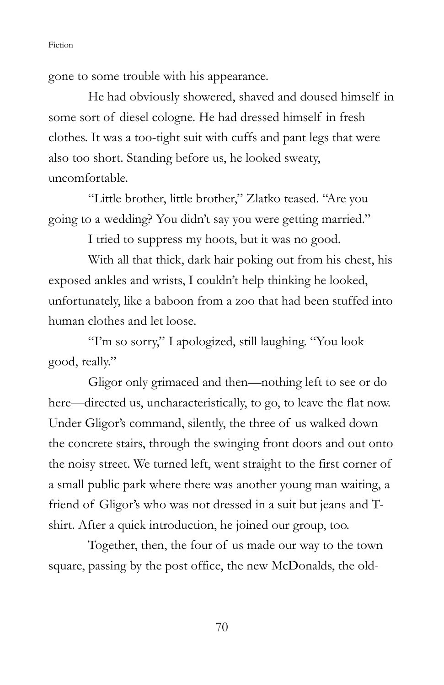gone to some trouble with his appearance.

 He had obviously showered, shaved and doused himself in some sort of diesel cologne. He had dressed himself in fresh clothes. It was a too-tight suit with cuffs and pant legs that were also too short. Standing before us, he looked sweaty, uncomfortable.

 "Little brother, little brother," Zlatko teased. "Are you going to a wedding? You didn't say you were getting married."

I tried to suppress my hoots, but it was no good.

 With all that thick, dark hair poking out from his chest, his exposed ankles and wrists, I couldn't help thinking he looked, unfortunately, like a baboon from a zoo that had been stuffed into human clothes and let loose.

 "I'm so sorry," I apologized, still laughing. "You look good, really."

 Gligor only grimaced and then—nothing left to see or do here—directed us, uncharacteristically, to go, to leave the flat now. Under Gligor's command, silently, the three of us walked down the concrete stairs, through the swinging front doors and out onto the noisy street. We turned left, went straight to the first corner of a small public park where there was another young man waiting, a friend of Gligor's who was not dressed in a suit but jeans and Tshirt. After a quick introduction, he joined our group, too.

 Together, then, the four of us made our way to the town square, passing by the post office, the new McDonalds, the old-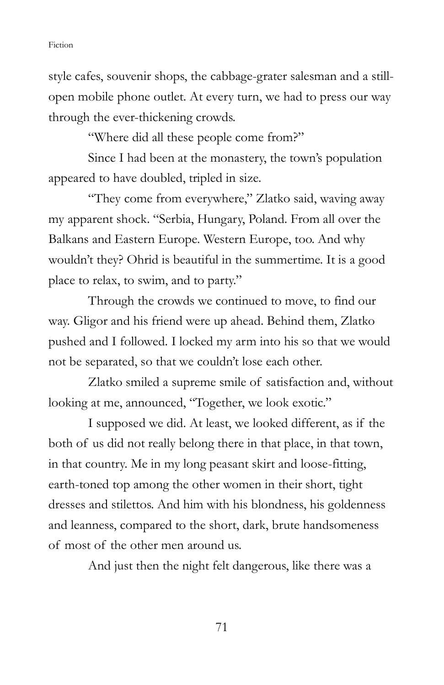style cafes, souvenir shops, the cabbage-grater salesman and a stillopen mobile phone outlet. At every turn, we had to press our way through the ever-thickening crowds.

"Where did all these people come from?"

 Since I had been at the monastery, the town's population appeared to have doubled, tripled in size.

 "They come from everywhere," Zlatko said, waving away my apparent shock. "Serbia, Hungary, Poland. From all over the Balkans and Eastern Europe. Western Europe, too. And why wouldn't they? Ohrid is beautiful in the summertime. It is a good place to relax, to swim, and to party."

 Through the crowds we continued to move, to find our way. Gligor and his friend were up ahead. Behind them, Zlatko pushed and I followed. I locked my arm into his so that we would not be separated, so that we couldn't lose each other.

 Zlatko smiled a supreme smile of satisfaction and, without looking at me, announced, "Together, we look exotic."

 I supposed we did. At least, we looked different, as if the both of us did not really belong there in that place, in that town, in that country. Me in my long peasant skirt and loose-fitting, earth-toned top among the other women in their short, tight dresses and stilettos. And him with his blondness, his goldenness and leanness, compared to the short, dark, brute handsomeness of most of the other men around us.

And just then the night felt dangerous, like there was a

71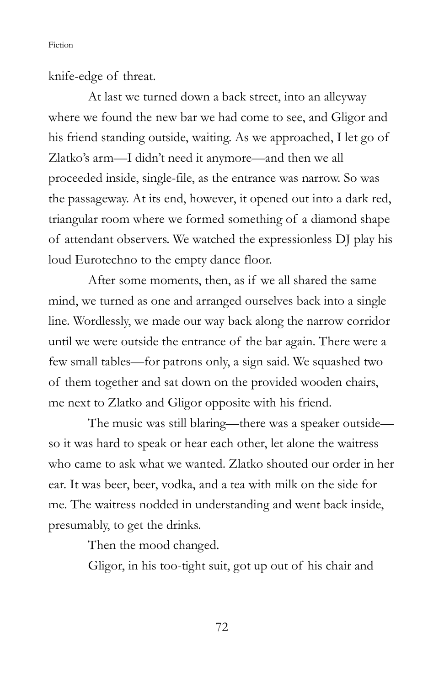knife-edge of threat.

At last we turned down a back street, into an alleyway where we found the new bar we had come to see, and Gligor and his friend standing outside, waiting. As we approached, I let go of Zlatko's arm—I didn't need it anymore—and then we all proceeded inside, single-file, as the entrance was narrow. So was the passageway. At its end, however, it opened out into a dark red, triangular room where we formed something of a diamond shape of attendant observers. We watched the expressionless DJ play his loud Eurotechno to the empty dance floor.

 After some moments, then, as if we all shared the same mind, we turned as one and arranged ourselves back into a single line. Wordlessly, we made our way back along the narrow corridor until we were outside the entrance of the bar again. There were a few small tables—for patrons only, a sign said. We squashed two of them together and sat down on the provided wooden chairs, me next to Zlatko and Gligor opposite with his friend.

 The music was still blaring—there was a speaker outside so it was hard to speak or hear each other, let alone the waitress who came to ask what we wanted. Zlatko shouted our order in her ear. It was beer, beer, vodka, and a tea with milk on the side for me. The waitress nodded in understanding and went back inside, presumably, to get the drinks.

Then the mood changed.

Gligor, in his too-tight suit, got up out of his chair and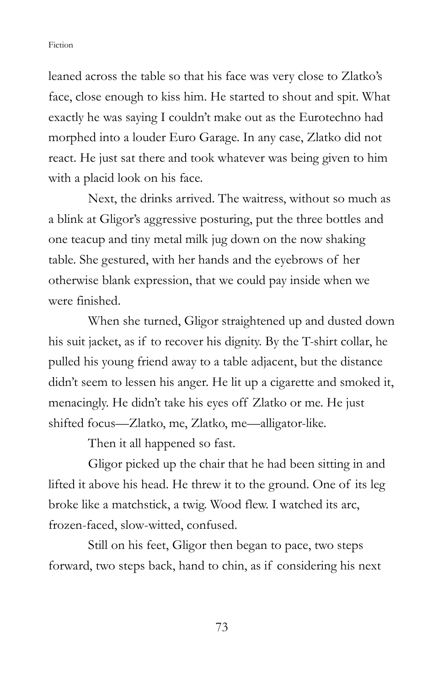leaned across the table so that his face was very close to Zlatko's face, close enough to kiss him. He started to shout and spit. What exactly he was saying I couldn't make out as the Eurotechno had morphed into a louder Euro Garage. In any case, Zlatko did not react. He just sat there and took whatever was being given to him with a placid look on his face.

 Next, the drinks arrived. The waitress, without so much as a blink at Gligor's aggressive posturing, put the three bottles and one teacup and tiny metal milk jug down on the now shaking table. She gestured, with her hands and the eyebrows of her otherwise blank expression, that we could pay inside when we were finished.

 When she turned, Gligor straightened up and dusted down his suit jacket, as if to recover his dignity. By the T-shirt collar, he pulled his young friend away to a table adjacent, but the distance didn't seem to lessen his anger. He lit up a cigarette and smoked it, menacingly. He didn't take his eyes off Zlatko or me. He just shifted focus—Zlatko, me, Zlatko, me—alligator-like.

Then it all happened so fast.

 Gligor picked up the chair that he had been sitting in and lifted it above his head. He threw it to the ground. One of its leg broke like a matchstick, a twig. Wood flew. I watched its arc, frozen-faced, slow-witted, confused.

 Still on his feet, Gligor then began to pace, two steps forward, two steps back, hand to chin, as if considering his next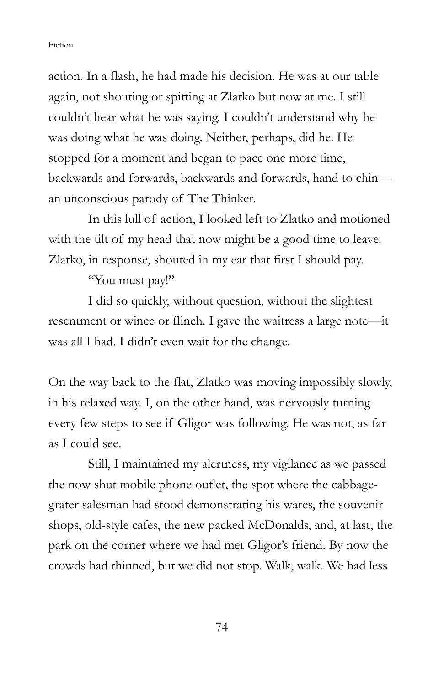action. In a flash, he had made his decision. He was at our table again, not shouting or spitting at Zlatko but now at me. I still couldn't hear what he was saying. I couldn't understand why he was doing what he was doing. Neither, perhaps, did he. He stopped for a moment and began to pace one more time, backwards and forwards, backwards and forwards, hand to chin an unconscious parody of The Thinker.

 In this lull of action, I looked left to Zlatko and motioned with the tilt of my head that now might be a good time to leave. Zlatko, in response, shouted in my ear that first I should pay.

"You must pay!"

 I did so quickly, without question, without the slightest resentment or wince or flinch. I gave the waitress a large note—it was all I had. I didn't even wait for the change.

On the way back to the flat, Zlatko was moving impossibly slowly, in his relaxed way. I, on the other hand, was nervously turning every few steps to see if Gligor was following. He was not, as far as I could see.

 Still, I maintained my alertness, my vigilance as we passed the now shut mobile phone outlet, the spot where the cabbagegrater salesman had stood demonstrating his wares, the souvenir shops, old-style cafes, the new packed McDonalds, and, at last, the park on the corner where we had met Gligor's friend. By now the crowds had thinned, but we did not stop. Walk, walk. We had less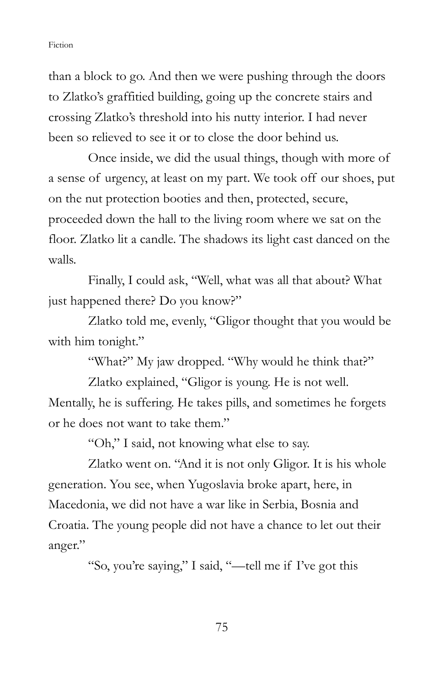than a block to go. And then we were pushing through the doors to Zlatko's graffitied building, going up the concrete stairs and crossing Zlatko's threshold into his nutty interior. I had never been so relieved to see it or to close the door behind us.

 Once inside, we did the usual things, though with more of a sense of urgency, at least on my part. We took off our shoes, put on the nut protection booties and then, protected, secure, proceeded down the hall to the living room where we sat on the floor. Zlatko lit a candle. The shadows its light cast danced on the walls.

 Finally, I could ask, "Well, what was all that about? What just happened there? Do you know?"

 Zlatko told me, evenly, "Gligor thought that you would be with him tonight."

"What?" My jaw dropped. "Why would he think that?"

Zlatko explained, "Gligor is young. He is not well. Mentally, he is suffering. He takes pills, and sometimes he forgets or he does not want to take them."

"Oh," I said, not knowing what else to say.

 Zlatko went on. "And it is not only Gligor. It is his whole generation. You see, when Yugoslavia broke apart, here, in Macedonia, we did not have a war like in Serbia, Bosnia and Croatia. The young people did not have a chance to let out their anger."

"So, you're saying," I said, "—tell me if I've got this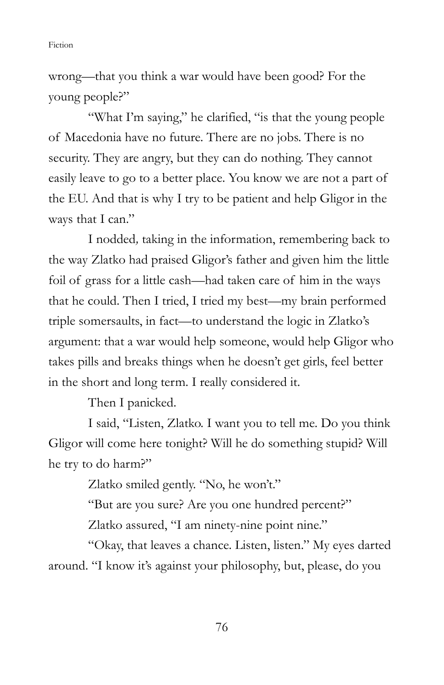wrong—that you think a war would have been good? For the young people?"

"What I'm saying," he clarified, "is that the young people of Macedonia have no future. There are no jobs. There is no security. They are angry, but they can do nothing. They cannot easily leave to go to a better place. You know we are not a part of the EU. And that is why I try to be patient and help Gligor in the ways that I can."

 I nodded, taking in the information, remembering back to the way Zlatko had praised Gligor's father and given him the little foil of grass for a little cash—had taken care of him in the ways that he could. Then I tried, I tried my best—my brain performed triple somersaults, in fact—to understand the logic in Zlatko's argument: that a war would help someone, would help Gligor who takes pills and breaks things when he doesn't get girls, feel better in the short and long term. I really considered it.

Then I panicked.

 I said, "Listen, Zlatko. I want you to tell me. Do you think Gligor will come here tonight? Will he do something stupid? Will he try to do harm?"

Zlatko smiled gently. "No, he won't."

"But are you sure? Are you one hundred percent?"

Zlatko assured, "I am ninety-nine point nine."

 "Okay, that leaves a chance. Listen, listen." My eyes darted around. "I know it's against your philosophy, but, please, do you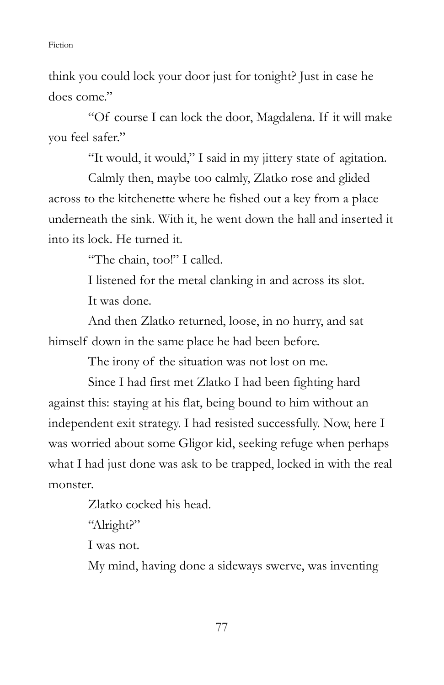think you could lock your door just for tonight? Just in case he does come"

 "Of course I can lock the door, Magdalena. If it will make you feel safer."

"It would, it would," I said in my jittery state of agitation.

 Calmly then, maybe too calmly, Zlatko rose and glided across to the kitchenette where he fished out a key from a place underneath the sink. With it, he went down the hall and inserted it into its lock. He turned it.

"The chain, too!" I called.

 I listened for the metal clanking in and across its slot. It was done.

 And then Zlatko returned, loose, in no hurry, and sat himself down in the same place he had been before.

The irony of the situation was not lost on me.

 Since I had first met Zlatko I had been fighting hard against this: staying at his flat, being bound to him without an independent exit strategy. I had resisted successfully. Now, here I was worried about some Gligor kid, seeking refuge when perhaps what I had just done was ask to be trapped, locked in with the real monster.

Zlatko cocked his head.

"Alright?"

I was not.

My mind, having done a sideways swerve, was inventing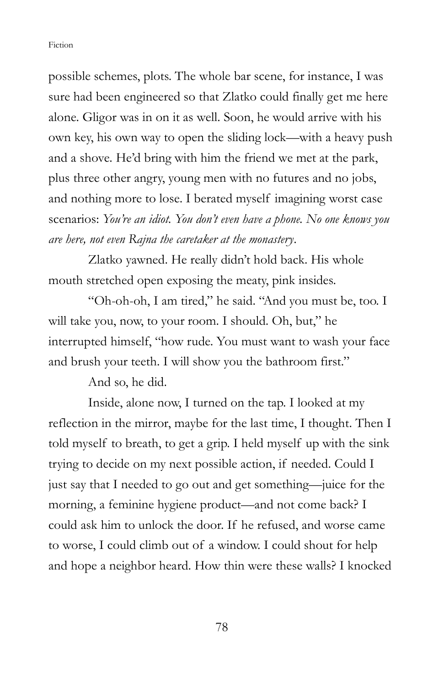possible schemes, plots. The whole bar scene, for instance, I was sure had been engineered so that Zlatko could finally get me here alone. Gligor was in on it as well. Soon, he would arrive with his own key, his own way to open the sliding lock—with a heavy push and a shove. He'd bring with him the friend we met at the park, plus three other angry, young men with no futures and no jobs, and nothing more to lose. I berated myself imagining worst case scenarios: You're an idiot. You don't even have a phone. No one knows you are here, not even Rajna the caretaker at the monastery.

Zlatko yawned. He really didn't hold back. His whole mouth stretched open exposing the meaty, pink insides.

 "Oh-oh-oh, I am tired," he said. "And you must be, too. I will take you, now, to your room. I should. Oh, but," he interrupted himself, "how rude. You must want to wash your face and brush your teeth. I will show you the bathroom first."

And so, he did.

 Inside, alone now, I turned on the tap. I looked at my reflection in the mirror, maybe for the last time, I thought. Then I told myself to breath, to get a grip. I held myself up with the sink trying to decide on my next possible action, if needed. Could I just say that I needed to go out and get something—juice for the morning, a feminine hygiene product—and not come back? I could ask him to unlock the door. If he refused, and worse came to worse, I could climb out of a window. I could shout for help and hope a neighbor heard. How thin were these walls? I knocked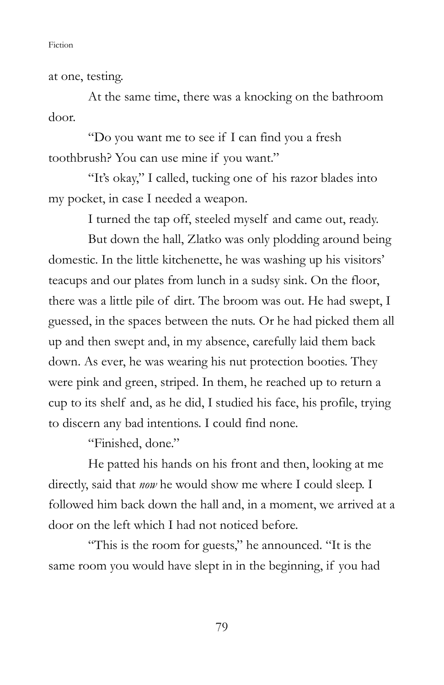at one, testing.

 At the same time, there was a knocking on the bathroom door.

 "Do you want me to see if I can find you a fresh toothbrush? You can use mine if you want."

 "It's okay," I called, tucking one of his razor blades into my pocket, in case I needed a weapon.

I turned the tap off, steeled myself and came out, ready.

 But down the hall, Zlatko was only plodding around being domestic. In the little kitchenette, he was washing up his visitors' teacups and our plates from lunch in a sudsy sink. On the floor, there was a little pile of dirt. The broom was out. He had swept, I guessed, in the spaces between the nuts. Or he had picked them all up and then swept and, in my absence, carefully laid them back down. As ever, he was wearing his nut protection booties. They were pink and green, striped. In them, he reached up to return a cup to its shelf and, as he did, I studied his face, his profile, trying to discern any bad intentions. I could find none.

"Finished, done."

 He patted his hands on his front and then, looking at me directly, said that *now* he would show me where I could sleep. I followed him back down the hall and, in a moment, we arrived at a door on the left which I had not noticed before.

 "This is the room for guests," he announced. "It is the same room you would have slept in in the beginning, if you had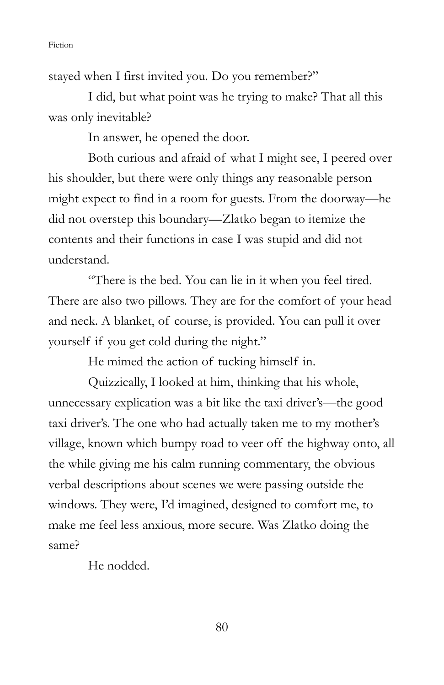stayed when I first invited you. Do you remember?"

 I did, but what point was he trying to make? That all this was only inevitable?

In answer, he opened the door.

Both curious and afraid of what I might see, I peered over his shoulder, but there were only things any reasonable person might expect to find in a room for guests. From the doorway—he did not overstep this boundary—Zlatko began to itemize the contents and their functions in case I was stupid and did not understand.

 "There is the bed. You can lie in it when you feel tired. There are also two pillows. They are for the comfort of your head and neck. A blanket, of course, is provided. You can pull it over yourself if you get cold during the night."

He mimed the action of tucking himself in.

 Quizzically, I looked at him, thinking that his whole, unnecessary explication was a bit like the taxi driver's—the good taxi driver's. The one who had actually taken me to my mother's village, known which bumpy road to veer off the highway onto, all the while giving me his calm running commentary, the obvious verbal descriptions about scenes we were passing outside the windows. They were, I'd imagined, designed to comfort me, to make me feel less anxious, more secure. Was Zlatko doing the same?

He nodded.

80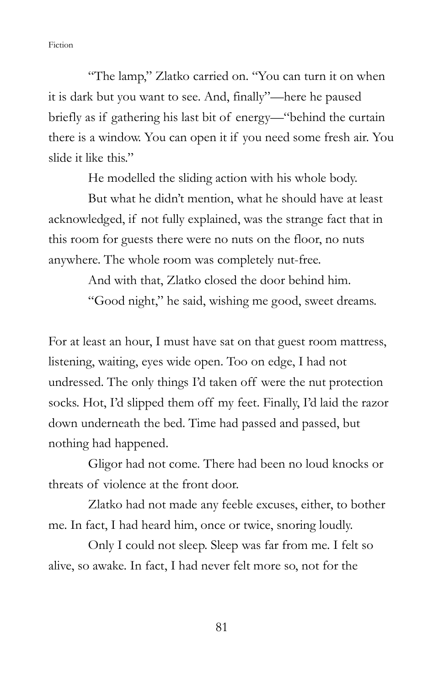"The lamp," Zlatko carried on. "You can turn it on when it is dark but you want to see. And, finally"—here he paused briefly as if gathering his last bit of energy—"behind the curtain there is a window. You can open it if you need some fresh air. You slide it like this."

He modelled the sliding action with his whole body.

 But what he didn't mention, what he should have at least acknowledged, if not fully explained, was the strange fact that in this room for guests there were no nuts on the floor, no nuts anywhere. The whole room was completely nut-free.

> And with that, Zlatko closed the door behind him. "Good night," he said, wishing me good, sweet dreams.

For at least an hour, I must have sat on that guest room mattress, listening, waiting, eyes wide open. Too on edge, I had not undressed. The only things I'd taken off were the nut protection socks. Hot, I'd slipped them off my feet. Finally, I'd laid the razor down underneath the bed. Time had passed and passed, but nothing had happened.

 Gligor had not come. There had been no loud knocks or threats of violence at the front door.

 Zlatko had not made any feeble excuses, either, to bother me. In fact, I had heard him, once or twice, snoring loudly.

 Only I could not sleep. Sleep was far from me. I felt so alive, so awake. In fact, I had never felt more so, not for the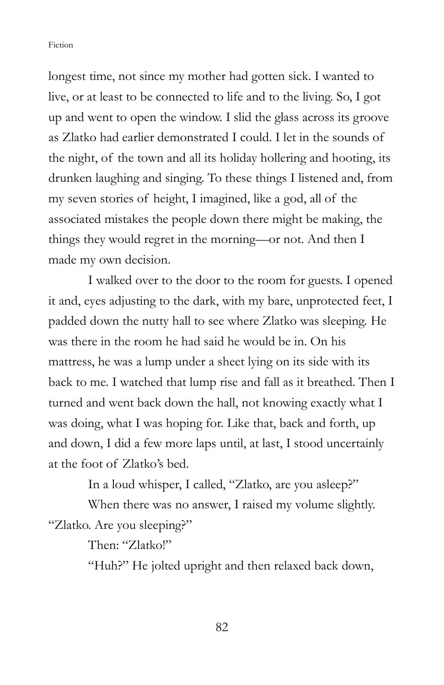longest time, not since my mother had gotten sick. I wanted to live, or at least to be connected to life and to the living. So, I got up and went to open the window. I slid the glass across its groove as Zlatko had earlier demonstrated I could. I let in the sounds of the night, of the town and all its holiday hollering and hooting, its drunken laughing and singing. To these things I listened and, from my seven stories of height, I imagined, like a god, all of the associated mistakes the people down there might be making, the things they would regret in the morning—or not. And then I made my own decision.

 I walked over to the door to the room for guests. I opened it and, eyes adjusting to the dark, with my bare, unprotected feet, I padded down the nutty hall to see where Zlatko was sleeping. He was there in the room he had said he would be in. On his mattress, he was a lump under a sheet lying on its side with its back to me. I watched that lump rise and fall as it breathed. Then I turned and went back down the hall, not knowing exactly what I was doing, what I was hoping for. Like that, back and forth, up and down, I did a few more laps until, at last, I stood uncertainly at the foot of Zlatko's bed.

In a loud whisper, I called, "Zlatko, are you asleep?"

 When there was no answer, I raised my volume slightly. "Zlatko. Are you sleeping?"

Then: "Zlatkol"

"Huh?" He jolted upright and then relaxed back down,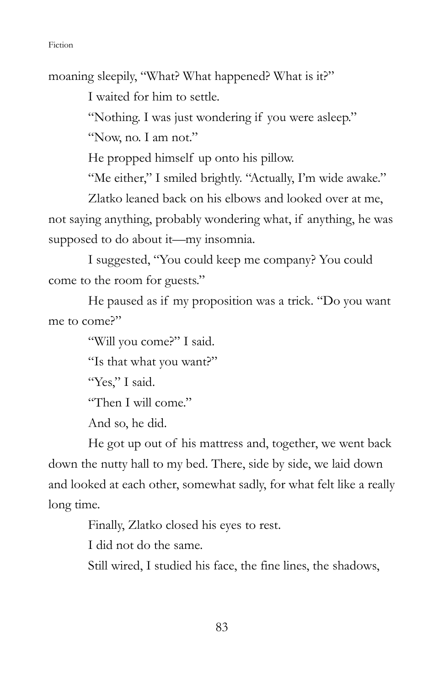moaning sleepily, "What? What happened? What is it?"

I waited for him to settle.

"Nothing. I was just wondering if you were asleep."

"Now, no. I am not."

He propped himself up onto his pillow.

"Me either," I smiled brightly. "Actually, I'm wide awake."

 Zlatko leaned back on his elbows and looked over at me, not saying anything, probably wondering what, if anything, he was supposed to do about it—my insomnia.

 I suggested, "You could keep me company? You could come to the room for guests."

 He paused as if my proposition was a trick. "Do you want me to come?"

"Will you come?" I said.

"Is that what you want?"

"Yes," I said.

"Then I will come."

And so, he did.

 He got up out of his mattress and, together, we went back down the nutty hall to my bed. There, side by side, we laid down and looked at each other, somewhat sadly, for what felt like a really long time.

Finally, Zlatko closed his eyes to rest.

I did not do the same.

Still wired, I studied his face, the fine lines, the shadows,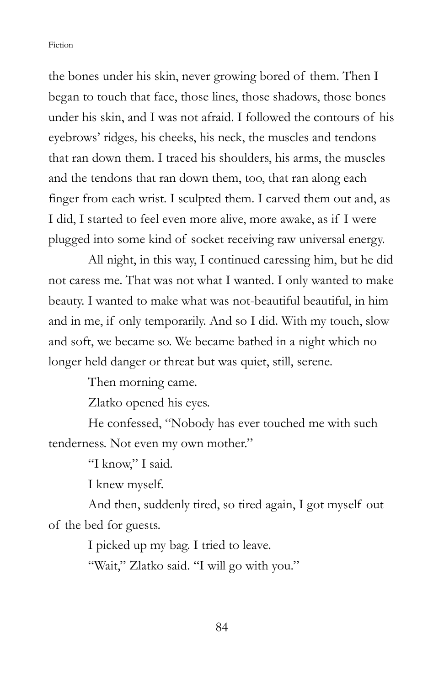the bones under his skin, never growing bored of them. Then I began to touch that face, those lines, those shadows, those bones under his skin, and I was not afraid. I followed the contours of his eyebrows' ridges, his cheeks, his neck, the muscles and tendons that ran down them. I traced his shoulders, his arms, the muscles and the tendons that ran down them, too, that ran along each finger from each wrist. I sculpted them. I carved them out and, as I did, I started to feel even more alive, more awake, as if I were plugged into some kind of socket receiving raw universal energy.

 All night, in this way, I continued caressing him, but he did not caress me. That was not what I wanted. I only wanted to make beauty. I wanted to make what was not-beautiful beautiful, in him and in me, if only temporarily. And so I did. With my touch, slow and soft, we became so. We became bathed in a night which no longer held danger or threat but was quiet, still, serene.

Then morning came.

Zlatko opened his eyes.

 He confessed, "Nobody has ever touched me with such tenderness. Not even my own mother."

"I know," I said.

I knew myself.

 And then, suddenly tired, so tired again, I got myself out of the bed for guests.

I picked up my bag. I tried to leave.

"Wait," Zlatko said. "I will go with you."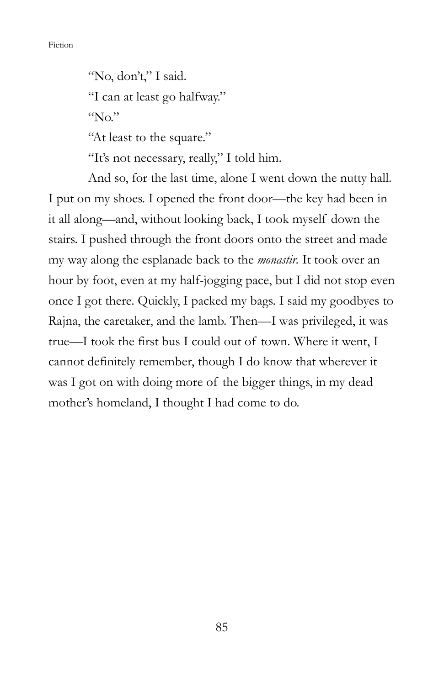"No, don't," I said. "I can at least go halfway." "No." "At least to the square."

"It's not necessary, really," I told him.

 And so, for the last time, alone I went down the nutty hall. I put on my shoes. I opened the front door—the key had been in it all along—and, without looking back, I took myself down the stairs. I pushed through the front doors onto the street and made my way along the esplanade back to the *monastir*. It took over an hour by foot, even at my half-jogging pace, but I did not stop even once I got there. Quickly, I packed my bags. I said my goodbyes to Rajna, the caretaker, and the lamb. Then—I was privileged, it was true—I took the first bus I could out of town. Where it went, I cannot definitely remember, though I do know that wherever it was I got on with doing more of the bigger things, in my dead mother's homeland, I thought I had come to do.